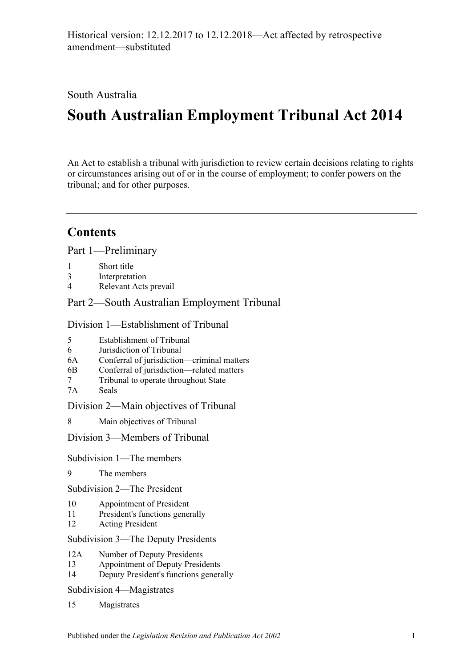South Australia

# **South Australian Employment Tribunal Act 2014**

An Act to establish a tribunal with jurisdiction to review certain decisions relating to rights or circumstances arising out of or in the course of employment; to confer powers on the tribunal; and for other purposes.

# **Contents**

Part [1—Preliminary](#page-4-0)

- 1 [Short title](#page-4-1)
- 3 [Interpretation](#page-4-2)
- 4 [Relevant Acts prevail](#page-5-0)

Part [2—South Australian Employment Tribunal](#page-6-0)

Division [1—Establishment of Tribunal](#page-6-1)

- 5 [Establishment of Tribunal](#page-6-2)
- 6 [Jurisdiction of Tribunal](#page-6-3)
- 6A [Conferral of jurisdiction—criminal matters](#page-6-4)
- 6B [Conferral of jurisdiction—related matters](#page-7-0)
- 7 [Tribunal to operate throughout State](#page-7-1)
- 7A [Seals](#page-7-2)

Division [2—Main objectives of Tribunal](#page-8-0)

8 [Main objectives of Tribunal](#page-8-1)

Division [3—Members of Tribunal](#page-8-2)

Subdivision [1—The members](#page-8-3)

9 [The members](#page-8-4)

Subdivision [2—The President](#page-9-0)

- 10 [Appointment of President](#page-9-1)
- 11 [President's functions generally](#page-9-2)
- 12 [Acting President](#page-10-0)

Subdivision [3—The Deputy Presidents](#page-11-0)

- 12A [Number of Deputy Presidents](#page-11-1)
- 13 [Appointment of Deputy Presidents](#page-11-2)
- 14 [Deputy President's functions generally](#page-12-0)

Subdivision [4—Magistrates](#page-13-0)

15 [Magistrates](#page-13-1)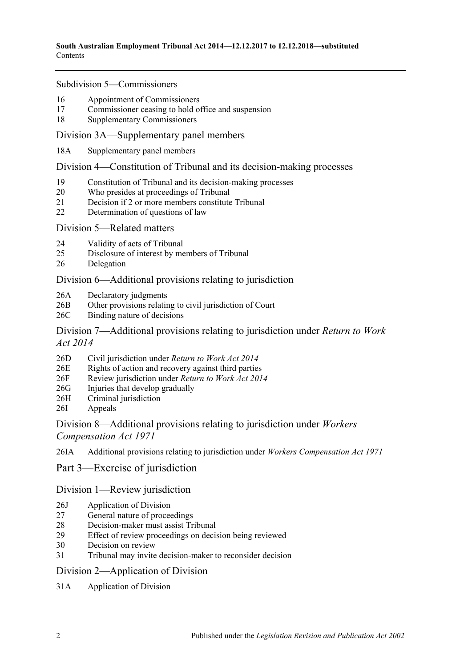#### Subdivision [5—Commissioners](#page-13-2)

- 16 [Appointment of Commissioners](#page-13-3)
- 17 [Commissioner ceasing to hold office and suspension](#page-14-0)
- 18 [Supplementary Commissioners](#page-15-0)

#### [Division 3A—Supplementary panel members](#page-16-0)

18A [Supplementary panel members](#page-16-1)

#### Division [4—Constitution of Tribunal and its decision-making processes](#page-16-2)

- 19 [Constitution of Tribunal and its decision-making processes](#page-16-3)
- 20 [Who presides at proceedings of Tribunal](#page-17-0)
- 21 [Decision if 2 or more members constitute Tribunal](#page-18-0)
- 22 [Determination of questions of law](#page-18-1)

#### Division [5—Related matters](#page-18-2)

- 24 [Validity of acts of Tribunal](#page-18-3)
- 25 [Disclosure of interest by members of Tribunal](#page-18-4)
- 26 [Delegation](#page-19-0)

## [Division 6—Additional provisions relating to jurisdiction](#page-19-1)

- 26A [Declaratory judgments](#page-19-2)
- 26B [Other provisions relating to civil jurisdiction of Court](#page-19-3)
- 26C [Binding nature of decisions](#page-19-4)

### [Division 7—Additional provisions relating to jurisdiction under](#page-20-0) *Return to Work Act [2014](#page-20-0)*

- 26D [Civil jurisdiction under](#page-20-1) *Return to Work Act 2014*
- 26E [Rights of action and recovery against third parties](#page-20-2)
- 26F [Review jurisdiction under](#page-20-3) *Return to Work Act 2014*
- 26G [Injuries that develop gradually](#page-20-4)
- 26H [Criminal jurisdiction](#page-21-0)
- 26I [Appeals](#page-21-1)

## [Division 8—Additional provisions relating to jurisdiction under](#page-21-2) *Workers [Compensation Act 1971](#page-21-2)*

26IA [Additional provisions relating to jurisdiction under](#page-21-3) *Workers Compensation Act 1971*

## Part [3—Exercise of jurisdiction](#page-22-0)

## [Division 1—Review jurisdiction](#page-22-1)

- 26J [Application of Division](#page-22-2)
- 27 [General nature of proceedings](#page-22-3)
- 28 [Decision-maker must assist Tribunal](#page-22-4)
- 29 [Effect of review proceedings on decision being reviewed](#page-23-0)
- 30 [Decision on review](#page-24-0)
- 31 [Tribunal may invite decision-maker to reconsider decision](#page-24-1)

#### [Division 2—Application of Division](#page-25-0)

31A [Application of Division](#page-25-1)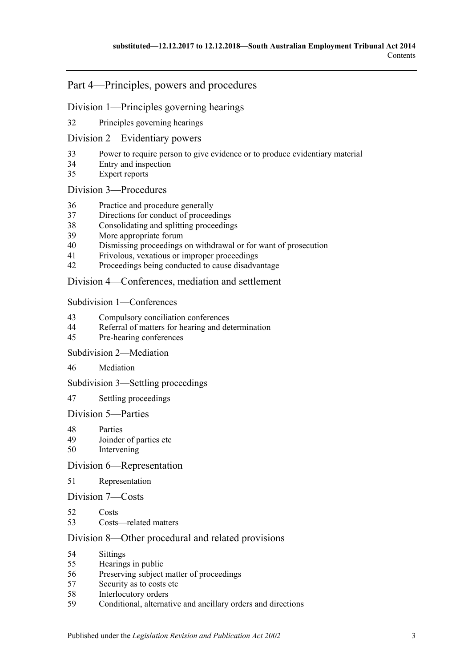# Part [4—Principles, powers and procedures](#page-25-2)

## Division [1—Principles governing hearings](#page-25-3)

[Principles governing hearings](#page-25-4)

### Division [2—Evidentiary powers](#page-26-0)

- [Power to require person to give evidence or to produce evidentiary material](#page-26-1)
- [Entry and inspection](#page-27-0)
- [Expert reports](#page-27-1)

### Division [3—Procedures](#page-27-2)

- [Practice and procedure generally](#page-27-3)
- [Directions for conduct of proceedings](#page-28-0)
- [Consolidating and splitting proceedings](#page-28-1)
- [More appropriate forum](#page-29-0)
- [Dismissing proceedings on withdrawal or for want of prosecution](#page-29-1)
- [Frivolous, vexatious or improper proceedings](#page-29-2)
- [Proceedings being conducted to cause disadvantage](#page-29-3)

## Division [4—Conferences, mediation and settlement](#page-30-0)

### Subdivision [1—Conferences](#page-30-1)

- [Compulsory conciliation conferences](#page-30-2)
- [Referral of matters for hearing and determination](#page-32-0)
- [Pre-hearing conferences](#page-32-1)

### Subdivision [2—Mediation](#page-32-2)

[Mediation](#page-32-3)

#### Subdivision [3—Settling proceedings](#page-33-0)

[Settling proceedings](#page-33-1)

# Division [5—Parties](#page-34-0)

- [Parties](#page-34-1)<br>49 Joinder
- [Joinder of parties etc](#page-34-2)
- [Intervening](#page-35-0)

## Division [6—Representation](#page-35-1)

# [Representation](#page-35-2)

## Division [7—Costs](#page-35-3)

- [Costs](#page-35-4)
- [Costs—related matters](#page-35-5)

## Division [8—Other procedural and related provisions](#page-36-0)

- [Sittings](#page-36-1)
- [Hearings in public](#page-36-2)
- [Preserving subject matter of proceedings](#page-37-0)
- [Security as to costs etc](#page-37-1)
- [Interlocutory orders](#page-38-0)<br>59 Conditional alternat
- [Conditional, alternative and ancillary orders and directions](#page-38-1)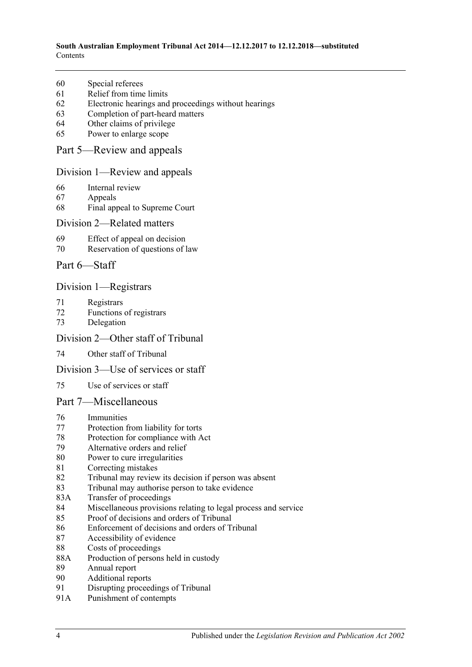#### **South Australian Employment Tribunal Act 2014—12.12.2017 to 12.12.2018—substituted** Contents

- [Special referees](#page-38-2)
- [Relief from time limits](#page-38-3)
- [Electronic hearings and proceedings without hearings](#page-38-4)
- [Completion of part-heard matters](#page-39-0)
- [Other claims of privilege](#page-39-1)
- [Power to enlarge scope](#page-39-2)

### Part [5—Review and appeals](#page-39-3)

### Division [1—Review and appeals](#page-39-4)

- [Internal review](#page-39-5)
- [Appeals](#page-40-0)
- [Final appeal to Supreme Court](#page-40-1)

#### Division [2—Related matters](#page-41-0)

- [Effect of appeal on decision](#page-41-1)
- [Reservation of questions of law](#page-41-2)
- Part [6—Staff](#page-41-3)

### Division [1—Registrars](#page-41-4)

- [Registrars](#page-41-5)
- [Functions of registrars](#page-42-0)
- [Delegation](#page-42-1)

#### Division [2—Other staff of Tribunal](#page-43-0)

[Other staff of Tribunal](#page-43-1)

#### Division [3—Use of services or staff](#page-43-2)

[Use of services or staff](#page-43-3)

#### Part [7—Miscellaneous](#page-43-4)

- [Immunities](#page-43-5)
- [Protection from liability for torts](#page-44-0)
- [Protection for compliance with Act](#page-44-1)
- [Alternative orders and relief](#page-44-2)
- [Power to cure irregularities](#page-44-3)
- [Correcting mistakes](#page-44-4)
- [Tribunal may review its decision if person was absent](#page-45-0)
- [Tribunal may authorise person to take evidence](#page-45-1)
- 83A [Transfer of proceedings](#page-46-0)
- [Miscellaneous provisions relating to legal process and service](#page-47-0)
- [Proof of decisions and orders of Tribunal](#page-47-1)
- [Enforcement of decisions and orders of Tribunal](#page-47-2)
- [Accessibility of evidence](#page-48-0)
- [Costs of proceedings](#page-48-1)
- 88A [Production of persons held in custody](#page-49-0)
- [Annual report](#page-49-1)
- [Additional reports](#page-49-2)
- [Disrupting proceedings of Tribunal](#page-49-3)
- 91A [Punishment of contempts](#page-50-0)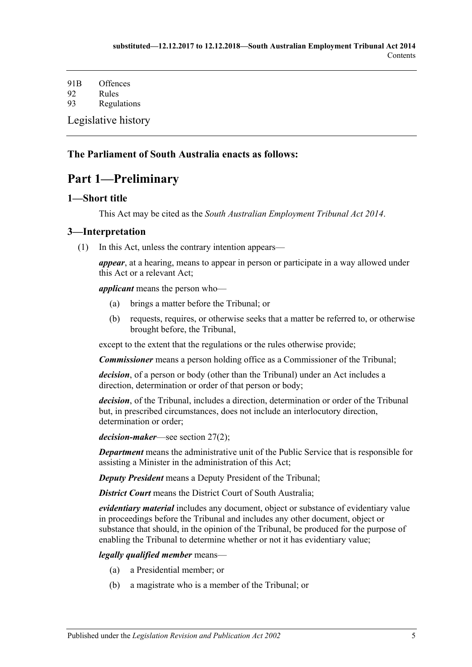91B [Offences](#page-50-1) 92 [Rules](#page-50-2) 93 [Regulations](#page-51-0) [Legislative history](#page-53-0)

# <span id="page-4-0"></span>**The Parliament of South Australia enacts as follows:**

# **Part 1—Preliminary**

# <span id="page-4-1"></span>**1—Short title**

This Act may be cited as the *South Australian Employment Tribunal Act 2014*.

## <span id="page-4-2"></span>**3—Interpretation**

(1) In this Act, unless the contrary intention appears—

*appear*, at a hearing, means to appear in person or participate in a way allowed under this Act or a relevant Act;

*applicant* means the person who—

- (a) brings a matter before the Tribunal; or
- (b) requests, requires, or otherwise seeks that a matter be referred to, or otherwise brought before, the Tribunal,

except to the extent that the regulations or the rules otherwise provide;

*Commissioner* means a person holding office as a Commissioner of the Tribunal;

*decision*, of a person or body (other than the Tribunal) under an Act includes a direction, determination or order of that person or body;

*decision*, of the Tribunal, includes a direction, determination or order of the Tribunal but, in prescribed circumstances, does not include an interlocutory direction, determination or order;

*decision-maker*—see [section](#page-22-5) 27(2);

*Department* means the administrative unit of the Public Service that is responsible for assisting a Minister in the administration of this Act;

*Deputy President* means a Deputy President of the Tribunal;

**District Court** means the District Court of South Australia;

*evidentiary material* includes any document, object or substance of evidentiary value in proceedings before the Tribunal and includes any other document, object or substance that should, in the opinion of the Tribunal, be produced for the purpose of enabling the Tribunal to determine whether or not it has evidentiary value;

#### *legally qualified member* means—

- (a) a Presidential member; or
- (b) a magistrate who is a member of the Tribunal; or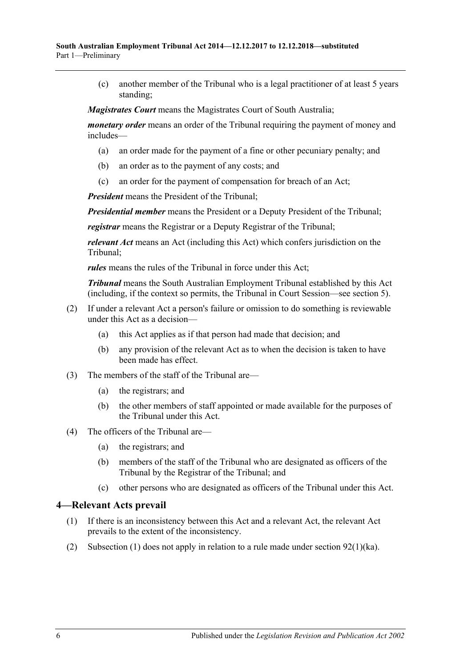(c) another member of the Tribunal who is a legal practitioner of at least 5 years standing;

*Magistrates Court* means the Magistrates Court of South Australia;

*monetary order* means an order of the Tribunal requiring the payment of money and includes—

- (a) an order made for the payment of a fine or other pecuniary penalty; and
- (b) an order as to the payment of any costs; and
- (c) an order for the payment of compensation for breach of an Act;

*President* means the President of the Tribunal;

*Presidential member* means the President or a Deputy President of the Tribunal;

*registrar* means the Registrar or a Deputy Registrar of the Tribunal;

*relevant Act* means an Act (including this Act) which confers jurisdiction on the Tribunal;

*rules* means the rules of the Tribunal in force under this Act;

*Tribunal* means the South Australian Employment Tribunal established by this Act (including, if the context so permits, the Tribunal in Court Session—see [section](#page-6-2) 5).

- (2) If under a relevant Act a person's failure or omission to do something is reviewable under this Act as a decision—
	- (a) this Act applies as if that person had made that decision; and
	- (b) any provision of the relevant Act as to when the decision is taken to have been made has effect.
- (3) The members of the staff of the Tribunal are—
	- (a) the registrars; and
	- (b) the other members of staff appointed or made available for the purposes of the Tribunal under this Act.
- (4) The officers of the Tribunal are—
	- (a) the registrars; and
	- (b) members of the staff of the Tribunal who are designated as officers of the Tribunal by the Registrar of the Tribunal; and
	- (c) other persons who are designated as officers of the Tribunal under this Act.

#### <span id="page-5-1"></span><span id="page-5-0"></span>**4—Relevant Acts prevail**

- (1) If there is an inconsistency between this Act and a relevant Act, the relevant Act prevails to the extent of the inconsistency.
- (2) [Subsection](#page-5-1) (1) does not apply in relation to a rule made under section  $92(1)(ka)$ .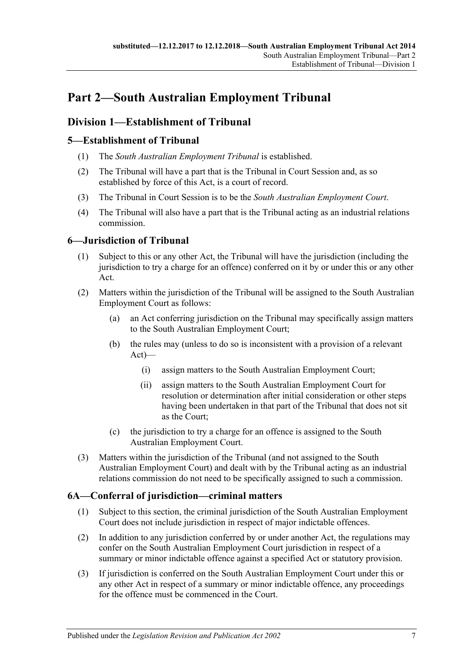# <span id="page-6-0"></span>**Part 2—South Australian Employment Tribunal**

# <span id="page-6-1"></span>**Division 1—Establishment of Tribunal**

# <span id="page-6-2"></span>**5—Establishment of Tribunal**

- (1) The *South Australian Employment Tribunal* is established.
- (2) The Tribunal will have a part that is the Tribunal in Court Session and, as so established by force of this Act, is a court of record.
- (3) The Tribunal in Court Session is to be the *South Australian Employment Court*.
- (4) The Tribunal will also have a part that is the Tribunal acting as an industrial relations commission.

# <span id="page-6-3"></span>**6—Jurisdiction of Tribunal**

- (1) Subject to this or any other Act, the Tribunal will have the jurisdiction (including the jurisdiction to try a charge for an offence) conferred on it by or under this or any other Act.
- (2) Matters within the jurisdiction of the Tribunal will be assigned to the South Australian Employment Court as follows:
	- (a) an Act conferring jurisdiction on the Tribunal may specifically assign matters to the South Australian Employment Court;
	- (b) the rules may (unless to do so is inconsistent with a provision of a relevant Act)—
		- (i) assign matters to the South Australian Employment Court;
		- (ii) assign matters to the South Australian Employment Court for resolution or determination after initial consideration or other steps having been undertaken in that part of the Tribunal that does not sit as the Court;
	- (c) the jurisdiction to try a charge for an offence is assigned to the South Australian Employment Court.
- (3) Matters within the jurisdiction of the Tribunal (and not assigned to the South Australian Employment Court) and dealt with by the Tribunal acting as an industrial relations commission do not need to be specifically assigned to such a commission.

# <span id="page-6-4"></span>**6A—Conferral of jurisdiction—criminal matters**

- (1) Subject to this section, the criminal jurisdiction of the South Australian Employment Court does not include jurisdiction in respect of major indictable offences.
- (2) In addition to any jurisdiction conferred by or under another Act, the regulations may confer on the South Australian Employment Court jurisdiction in respect of a summary or minor indictable offence against a specified Act or statutory provision.
- (3) If jurisdiction is conferred on the South Australian Employment Court under this or any other Act in respect of a summary or minor indictable offence, any proceedings for the offence must be commenced in the Court.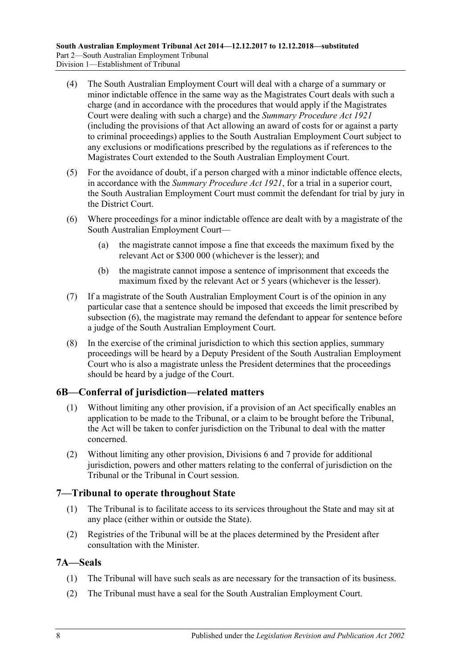- (4) The South Australian Employment Court will deal with a charge of a summary or minor indictable offence in the same way as the Magistrates Court deals with such a charge (and in accordance with the procedures that would apply if the Magistrates Court were dealing with such a charge) and the *[Summary Procedure Act](http://www.legislation.sa.gov.au/index.aspx?action=legref&type=act&legtitle=Summary%20Procedure%20Act%201921) 1921* (including the provisions of that Act allowing an award of costs for or against a party to criminal proceedings) applies to the South Australian Employment Court subject to any exclusions or modifications prescribed by the regulations as if references to the Magistrates Court extended to the South Australian Employment Court.
- (5) For the avoidance of doubt, if a person charged with a minor indictable offence elects, in accordance with the *[Summary Procedure Act](http://www.legislation.sa.gov.au/index.aspx?action=legref&type=act&legtitle=Summary%20Procedure%20Act%201921) 1921*, for a trial in a superior court, the South Australian Employment Court must commit the defendant for trial by jury in the District Court.
- <span id="page-7-3"></span>(6) Where proceedings for a minor indictable offence are dealt with by a magistrate of the South Australian Employment Court—
	- (a) the magistrate cannot impose a fine that exceeds the maximum fixed by the relevant Act or \$300 000 (whichever is the lesser); and
	- (b) the magistrate cannot impose a sentence of imprisonment that exceeds the maximum fixed by the relevant Act or 5 years (whichever is the lesser).
- (7) If a magistrate of the South Australian Employment Court is of the opinion in any particular case that a sentence should be imposed that exceeds the limit prescribed by [subsection](#page-7-3) (6), the magistrate may remand the defendant to appear for sentence before a judge of the South Australian Employment Court.
- (8) In the exercise of the criminal jurisdiction to which this section applies, summary proceedings will be heard by a Deputy President of the South Australian Employment Court who is also a magistrate unless the President determines that the proceedings should be heard by a judge of the Court.

## <span id="page-7-0"></span>**6B—Conferral of jurisdiction—related matters**

- (1) Without limiting any other provision, if a provision of an Act specifically enables an application to be made to the Tribunal, or a claim to be brought before the Tribunal, the Act will be taken to confer jurisdiction on the Tribunal to deal with the matter concerned.
- (2) Without limiting any other provision, [Divisions 6](#page-19-1) and [7](#page-20-0) provide for additional jurisdiction, powers and other matters relating to the conferral of jurisdiction on the Tribunal or the Tribunal in Court session.

## <span id="page-7-1"></span>**7—Tribunal to operate throughout State**

- (1) The Tribunal is to facilitate access to its services throughout the State and may sit at any place (either within or outside the State).
- (2) Registries of the Tribunal will be at the places determined by the President after consultation with the Minister.

## <span id="page-7-2"></span>**7A—Seals**

- (1) The Tribunal will have such seals as are necessary for the transaction of its business.
- (2) The Tribunal must have a seal for the South Australian Employment Court.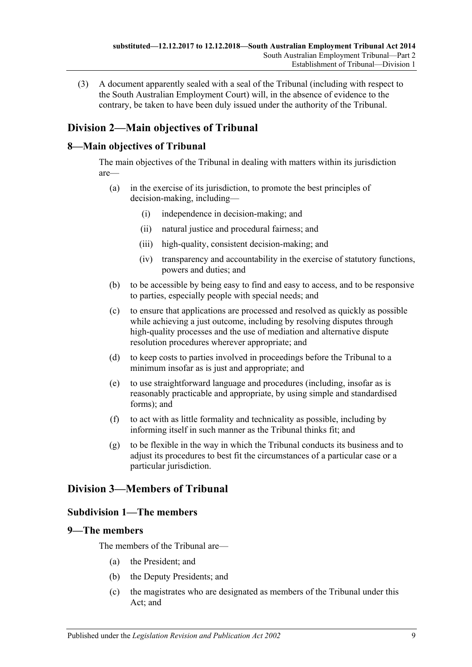(3) A document apparently sealed with a seal of the Tribunal (including with respect to the South Australian Employment Court) will, in the absence of evidence to the contrary, be taken to have been duly issued under the authority of the Tribunal.

# <span id="page-8-0"></span>**Division 2—Main objectives of Tribunal**

# <span id="page-8-1"></span>**8—Main objectives of Tribunal**

The main objectives of the Tribunal in dealing with matters within its jurisdiction are—

- (a) in the exercise of its jurisdiction, to promote the best principles of decision-making, including—
	- (i) independence in decision-making; and
	- (ii) natural justice and procedural fairness; and
	- (iii) high-quality, consistent decision-making; and
	- (iv) transparency and accountability in the exercise of statutory functions, powers and duties; and
- (b) to be accessible by being easy to find and easy to access, and to be responsive to parties, especially people with special needs; and
- (c) to ensure that applications are processed and resolved as quickly as possible while achieving a just outcome, including by resolving disputes through high-quality processes and the use of mediation and alternative dispute resolution procedures wherever appropriate; and
- (d) to keep costs to parties involved in proceedings before the Tribunal to a minimum insofar as is just and appropriate; and
- (e) to use straightforward language and procedures (including, insofar as is reasonably practicable and appropriate, by using simple and standardised forms); and
- (f) to act with as little formality and technicality as possible, including by informing itself in such manner as the Tribunal thinks fit; and
- (g) to be flexible in the way in which the Tribunal conducts its business and to adjust its procedures to best fit the circumstances of a particular case or a particular jurisdiction.

# <span id="page-8-3"></span><span id="page-8-2"></span>**Division 3—Members of Tribunal**

## **Subdivision 1—The members**

## <span id="page-8-4"></span>**9—The members**

The members of the Tribunal are—

- (a) the President; and
- (b) the Deputy Presidents; and
- (c) the magistrates who are designated as members of the Tribunal under this Act; and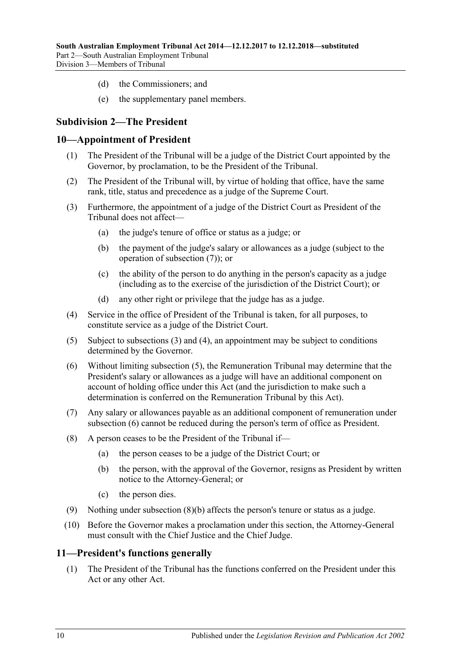- (d) the Commissioners; and
- (e) the supplementary panel members.

# <span id="page-9-0"></span>**Subdivision 2—The President**

### <span id="page-9-1"></span>**10—Appointment of President**

- (1) The President of the Tribunal will be a judge of the District Court appointed by the Governor, by proclamation, to be the President of the Tribunal.
- (2) The President of the Tribunal will, by virtue of holding that office, have the same rank, title, status and precedence as a judge of the Supreme Court.
- <span id="page-9-4"></span>(3) Furthermore, the appointment of a judge of the District Court as President of the Tribunal does not affect—
	- (a) the judge's tenure of office or status as a judge; or
	- (b) the payment of the judge's salary or allowances as a judge (subject to the operation of [subsection](#page-9-3) (7)); or
	- (c) the ability of the person to do anything in the person's capacity as a judge (including as to the exercise of the jurisdiction of the District Court); or
	- (d) any other right or privilege that the judge has as a judge.
- <span id="page-9-5"></span>(4) Service in the office of President of the Tribunal is taken, for all purposes, to constitute service as a judge of the District Court.
- <span id="page-9-6"></span>(5) Subject to [subsections](#page-9-4) (3) and [\(4\),](#page-9-5) an appointment may be subject to conditions determined by the Governor.
- <span id="page-9-7"></span>(6) Without limiting [subsection](#page-9-6) (5), the Remuneration Tribunal may determine that the President's salary or allowances as a judge will have an additional component on account of holding office under this Act (and the jurisdiction to make such a determination is conferred on the Remuneration Tribunal by this Act).
- <span id="page-9-3"></span>(7) Any salary or allowances payable as an additional component of remuneration under [subsection](#page-9-7) (6) cannot be reduced during the person's term of office as President.
- <span id="page-9-8"></span>(8) A person ceases to be the President of the Tribunal if—
	- (a) the person ceases to be a judge of the District Court; or
	- (b) the person, with the approval of the Governor, resigns as President by written notice to the Attorney-General; or
	- (c) the person dies.
- (9) Nothing under [subsection](#page-9-8) (8)(b) affects the person's tenure or status as a judge.
- (10) Before the Governor makes a proclamation under this section, the Attorney-General must consult with the Chief Justice and the Chief Judge.

### <span id="page-9-2"></span>**11—President's functions generally**

(1) The President of the Tribunal has the functions conferred on the President under this Act or any other Act.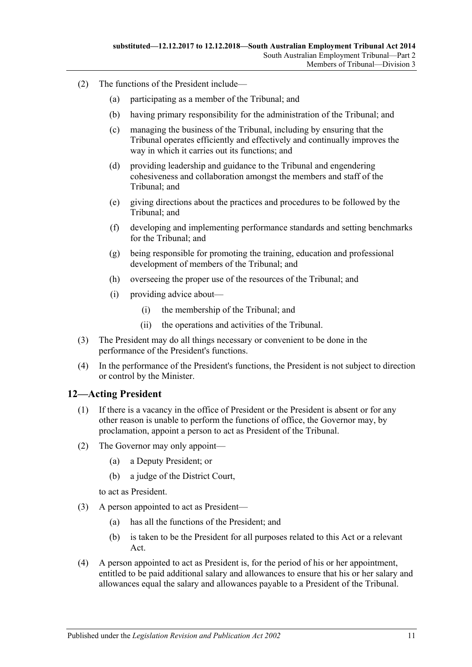- (2) The functions of the President include—
	- (a) participating as a member of the Tribunal; and
	- (b) having primary responsibility for the administration of the Tribunal; and
	- (c) managing the business of the Tribunal, including by ensuring that the Tribunal operates efficiently and effectively and continually improves the way in which it carries out its functions; and
	- (d) providing leadership and guidance to the Tribunal and engendering cohesiveness and collaboration amongst the members and staff of the Tribunal; and
	- (e) giving directions about the practices and procedures to be followed by the Tribunal; and
	- (f) developing and implementing performance standards and setting benchmarks for the Tribunal; and
	- (g) being responsible for promoting the training, education and professional development of members of the Tribunal; and
	- (h) overseeing the proper use of the resources of the Tribunal; and
	- (i) providing advice about—
		- (i) the membership of the Tribunal; and
		- (ii) the operations and activities of the Tribunal.
- (3) The President may do all things necessary or convenient to be done in the performance of the President's functions.
- (4) In the performance of the President's functions, the President is not subject to direction or control by the Minister.

#### <span id="page-10-1"></span><span id="page-10-0"></span>**12—Acting President**

- (1) If there is a vacancy in the office of President or the President is absent or for any other reason is unable to perform the functions of office, the Governor may, by proclamation, appoint a person to act as President of the Tribunal.
- (2) The Governor may only appoint—
	- (a) a Deputy President; or
	- (b) a judge of the District Court,

to act as President.

- (3) A person appointed to act as President—
	- (a) has all the functions of the President; and
	- (b) is taken to be the President for all purposes related to this Act or a relevant Act.
- (4) A person appointed to act as President is, for the period of his or her appointment, entitled to be paid additional salary and allowances to ensure that his or her salary and allowances equal the salary and allowances payable to a President of the Tribunal.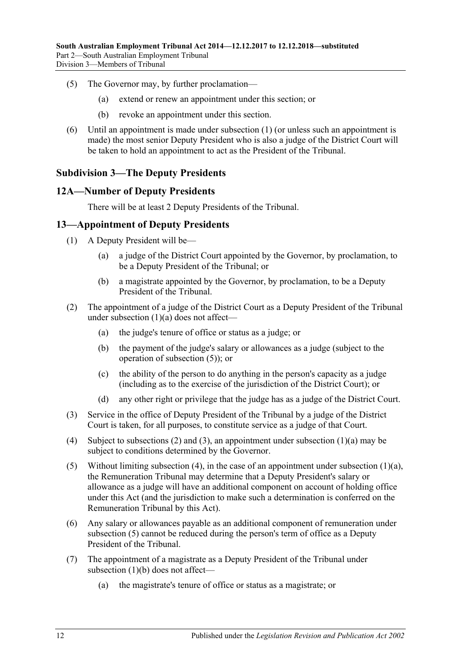- (5) The Governor may, by further proclamation—
	- (a) extend or renew an appointment under this section; or
	- (b) revoke an appointment under this section.
- (6) Until an appointment is made under [subsection](#page-10-1) (1) (or unless such an appointment is made) the most senior Deputy President who is also a judge of the District Court will be taken to hold an appointment to act as the President of the Tribunal.

## <span id="page-11-0"></span>**Subdivision 3—The Deputy Presidents**

#### <span id="page-11-1"></span>**12A—Number of Deputy Presidents**

There will be at least 2 Deputy Presidents of the Tribunal.

### <span id="page-11-2"></span>**13—Appointment of Deputy Presidents**

- <span id="page-11-3"></span>(1) A Deputy President will be—
	- (a) a judge of the District Court appointed by the Governor, by proclamation, to be a Deputy President of the Tribunal; or
	- (b) a magistrate appointed by the Governor, by proclamation, to be a Deputy President of the Tribunal.
- <span id="page-11-8"></span><span id="page-11-5"></span>(2) The appointment of a judge of the District Court as a Deputy President of the Tribunal under [subsection](#page-11-3) (1)(a) does not affect—
	- (a) the judge's tenure of office or status as a judge; or
	- (b) the payment of the judge's salary or allowances as a judge (subject to the operation of [subsection](#page-11-4) (5)); or
	- (c) the ability of the person to do anything in the person's capacity as a judge (including as to the exercise of the jurisdiction of the District Court); or
	- (d) any other right or privilege that the judge has as a judge of the District Court.
- <span id="page-11-6"></span>(3) Service in the office of Deputy President of the Tribunal by a judge of the District Court is taken, for all purposes, to constitute service as a judge of that Court.
- <span id="page-11-7"></span>(4) Subject to [subsections \(2\)](#page-11-5) and [\(3\),](#page-11-6) an appointment under [subsection](#page-11-3) (1)(a) may be subject to conditions determined by the Governor.
- <span id="page-11-4"></span>(5) Without limiting [subsection](#page-11-3) (4), in the case of an appointment under subsection  $(1)(a)$ , the Remuneration Tribunal may determine that a Deputy President's salary or allowance as a judge will have an additional component on account of holding office under this Act (and the jurisdiction to make such a determination is conferred on the Remuneration Tribunal by this Act).
- (6) Any salary or allowances payable as an additional component of remuneration under [subsection](#page-11-4) (5) cannot be reduced during the person's term of office as a Deputy President of the Tribunal.
- <span id="page-11-9"></span>(7) The appointment of a magistrate as a Deputy President of the Tribunal under [subsection](#page-11-8) (1)(b) does not affect—
	- (a) the magistrate's tenure of office or status as a magistrate; or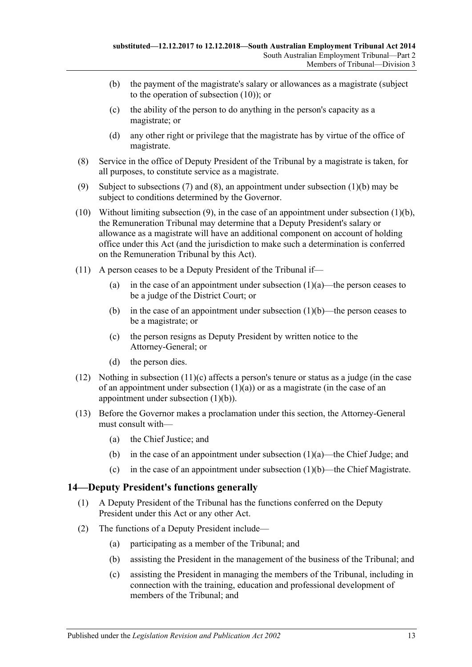- (b) the payment of the magistrate's salary or allowances as a magistrate (subject to the operation of [subsection](#page-12-1) (10)); or
- (c) the ability of the person to do anything in the person's capacity as a magistrate; or
- (d) any other right or privilege that the magistrate has by virtue of the office of magistrate.
- <span id="page-12-2"></span>(8) Service in the office of Deputy President of the Tribunal by a magistrate is taken, for all purposes, to constitute service as a magistrate.
- <span id="page-12-3"></span>(9) Subject to [subsections](#page-11-9) (7) and [\(8\),](#page-12-2) an appointment under [subsection](#page-11-8) (1)(b) may be subject to conditions determined by the Governor.
- <span id="page-12-1"></span>(10) Without limiting [subsection](#page-11-8)  $(9)$ , in the case of an appointment under subsection  $(1)(b)$ , the Remuneration Tribunal may determine that a Deputy President's salary or allowance as a magistrate will have an additional component on account of holding office under this Act (and the jurisdiction to make such a determination is conferred on the Remuneration Tribunal by this Act).
- (11) A person ceases to be a Deputy President of the Tribunal if
	- (a) in the case of an appointment under [subsection](#page-11-3)  $(1)(a)$ —the person ceases to be a judge of the District Court; or
	- (b) in the case of an appointment under [subsection](#page-11-8)  $(1)(b)$ —the person ceases to be a magistrate; or
	- (c) the person resigns as Deputy President by written notice to the Attorney-General; or
	- (d) the person dies.
- <span id="page-12-4"></span>(12) Nothing in [subsection](#page-12-4)  $(11)(c)$  affects a person's tenure or status as a judge (in the case of an appointment under [subsection](#page-11-3)  $(1)(a)$  or as a magistrate (in the case of an appointment under [subsection](#page-11-8) (1)(b)).
- (13) Before the Governor makes a proclamation under this section, the Attorney-General must consult with—
	- (a) the Chief Justice; and
	- (b) in the case of an appointment under [subsection](#page-11-3)  $(1)(a)$ —the Chief Judge; and
	- (c) in the case of an appointment under [subsection](#page-11-8)  $(1)(b)$ —the Chief Magistrate.

## <span id="page-12-0"></span>**14—Deputy President's functions generally**

- (1) A Deputy President of the Tribunal has the functions conferred on the Deputy President under this Act or any other Act.
- (2) The functions of a Deputy President include—
	- (a) participating as a member of the Tribunal; and
	- (b) assisting the President in the management of the business of the Tribunal; and
	- (c) assisting the President in managing the members of the Tribunal, including in connection with the training, education and professional development of members of the Tribunal; and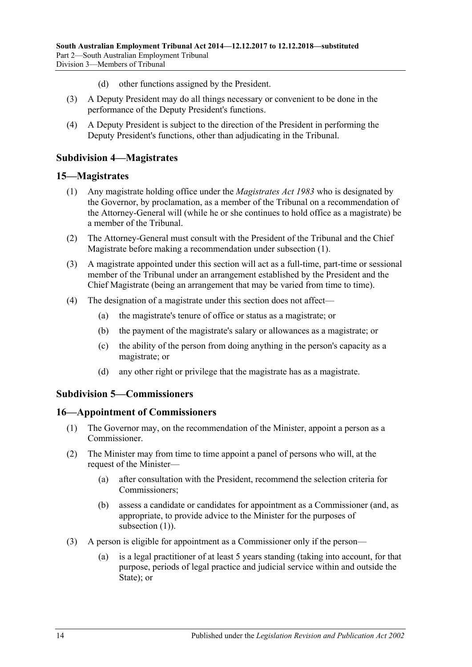- (d) other functions assigned by the President.
- (3) A Deputy President may do all things necessary or convenient to be done in the performance of the Deputy President's functions.
- (4) A Deputy President is subject to the direction of the President in performing the Deputy President's functions, other than adjudicating in the Tribunal.

### <span id="page-13-0"></span>**Subdivision 4—Magistrates**

#### <span id="page-13-4"></span><span id="page-13-1"></span>**15—Magistrates**

- (1) Any magistrate holding office under the *[Magistrates Act](http://www.legislation.sa.gov.au/index.aspx?action=legref&type=act&legtitle=Magistrates%20Act%201983) 1983* who is designated by the Governor, by proclamation, as a member of the Tribunal on a recommendation of the Attorney-General will (while he or she continues to hold office as a magistrate) be a member of the Tribunal.
- (2) The Attorney-General must consult with the President of the Tribunal and the Chief Magistrate before making a recommendation under [subsection](#page-13-4) (1).
- (3) A magistrate appointed under this section will act as a full-time, part-time or sessional member of the Tribunal under an arrangement established by the President and the Chief Magistrate (being an arrangement that may be varied from time to time).
- (4) The designation of a magistrate under this section does not affect—
	- (a) the magistrate's tenure of office or status as a magistrate; or
	- (b) the payment of the magistrate's salary or allowances as a magistrate; or
	- (c) the ability of the person from doing anything in the person's capacity as a magistrate; or
	- (d) any other right or privilege that the magistrate has as a magistrate.

#### <span id="page-13-2"></span>**Subdivision 5—Commissioners**

#### <span id="page-13-5"></span><span id="page-13-3"></span>**16—Appointment of Commissioners**

- (1) The Governor may, on the recommendation of the Minister, appoint a person as a Commissioner.
- <span id="page-13-8"></span><span id="page-13-6"></span>(2) The Minister may from time to time appoint a panel of persons who will, at the request of the Minister—
	- (a) after consultation with the President, recommend the selection criteria for Commissioners;
	- (b) assess a candidate or candidates for appointment as a Commissioner (and, as appropriate, to provide advice to the Minister for the purposes of [subsection](#page-13-5) (1)).
- <span id="page-13-7"></span>(3) A person is eligible for appointment as a Commissioner only if the person—
	- (a) is a legal practitioner of at least 5 years standing (taking into account, for that purpose, periods of legal practice and judicial service within and outside the State): or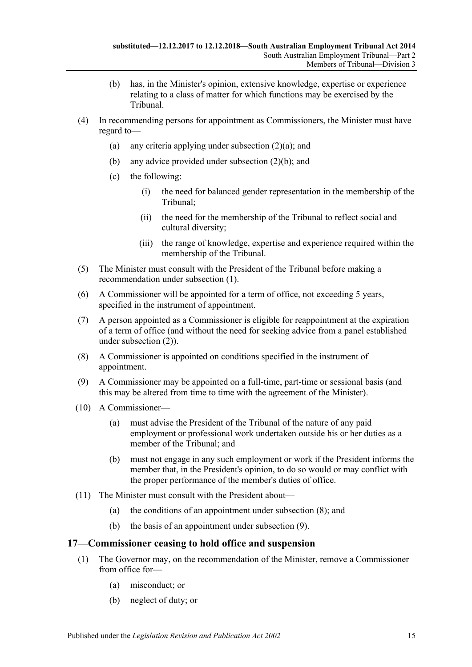- (b) has, in the Minister's opinion, extensive knowledge, expertise or experience relating to a class of matter for which functions may be exercised by the Tribunal.
- (4) In recommending persons for appointment as Commissioners, the Minister must have regard to
	- (a) any criteria applying under [subsection](#page-13-6)  $(2)(a)$ ; and
	- (b) any advice provided under [subsection](#page-13-7) (2)(b); and
	- (c) the following:
		- (i) the need for balanced gender representation in the membership of the Tribunal;
		- (ii) the need for the membership of the Tribunal to reflect social and cultural diversity;
		- (iii) the range of knowledge, expertise and experience required within the membership of the Tribunal.
- (5) The Minister must consult with the President of the Tribunal before making a recommendation under [subsection](#page-13-5) (1).
- (6) A Commissioner will be appointed for a term of office, not exceeding 5 years, specified in the instrument of appointment.
- (7) A person appointed as a Commissioner is eligible for reappointment at the expiration of a term of office (and without the need for seeking advice from a panel established under [subsection](#page-13-8) (2)).
- <span id="page-14-1"></span>(8) A Commissioner is appointed on conditions specified in the instrument of appointment.
- <span id="page-14-2"></span>(9) A Commissioner may be appointed on a full-time, part-time or sessional basis (and this may be altered from time to time with the agreement of the Minister).
- (10) A Commissioner—
	- (a) must advise the President of the Tribunal of the nature of any paid employment or professional work undertaken outside his or her duties as a member of the Tribunal; and
	- (b) must not engage in any such employment or work if the President informs the member that, in the President's opinion, to do so would or may conflict with the proper performance of the member's duties of office.
- (11) The Minister must consult with the President about—
	- (a) the conditions of an appointment under [subsection](#page-14-1) (8); and
	- (b) the basis of an appointment under [subsection](#page-14-2) (9).

## <span id="page-14-3"></span><span id="page-14-0"></span>**17—Commissioner ceasing to hold office and suspension**

- (1) The Governor may, on the recommendation of the Minister, remove a Commissioner from office for—
	- (a) misconduct; or
	- (b) neglect of duty; or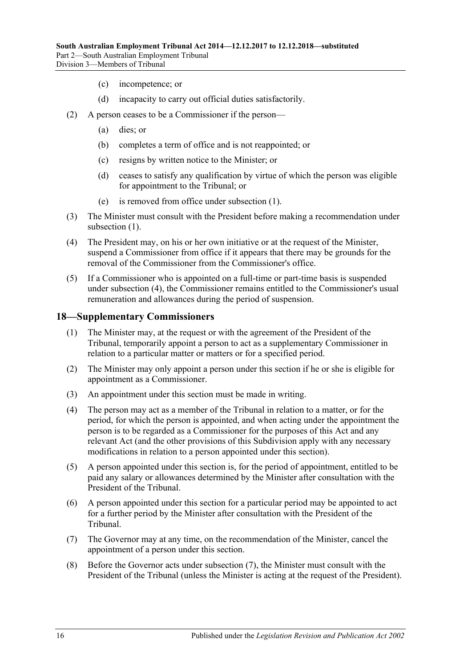- (c) incompetence; or
- (d) incapacity to carry out official duties satisfactorily.
- (2) A person ceases to be a Commissioner if the person—
	- (a) dies; or
	- (b) completes a term of office and is not reappointed; or
	- (c) resigns by written notice to the Minister; or
	- (d) ceases to satisfy any qualification by virtue of which the person was eligible for appointment to the Tribunal; or
	- (e) is removed from office under [subsection](#page-14-3) (1).
- (3) The Minister must consult with the President before making a recommendation under [subsection](#page-14-3)  $(1)$ .
- <span id="page-15-1"></span>(4) The President may, on his or her own initiative or at the request of the Minister, suspend a Commissioner from office if it appears that there may be grounds for the removal of the Commissioner from the Commissioner's office.
- (5) If a Commissioner who is appointed on a full-time or part-time basis is suspended under [subsection](#page-15-1) (4), the Commissioner remains entitled to the Commissioner's usual remuneration and allowances during the period of suspension.

#### <span id="page-15-0"></span>**18—Supplementary Commissioners**

- (1) The Minister may, at the request or with the agreement of the President of the Tribunal, temporarily appoint a person to act as a supplementary Commissioner in relation to a particular matter or matters or for a specified period.
- (2) The Minister may only appoint a person under this section if he or she is eligible for appointment as a Commissioner.
- (3) An appointment under this section must be made in writing.
- (4) The person may act as a member of the Tribunal in relation to a matter, or for the period, for which the person is appointed, and when acting under the appointment the person is to be regarded as a Commissioner for the purposes of this Act and any relevant Act (and the other provisions of this Subdivision apply with any necessary modifications in relation to a person appointed under this section).
- (5) A person appointed under this section is, for the period of appointment, entitled to be paid any salary or allowances determined by the Minister after consultation with the President of the Tribunal.
- (6) A person appointed under this section for a particular period may be appointed to act for a further period by the Minister after consultation with the President of the Tribunal.
- <span id="page-15-2"></span>(7) The Governor may at any time, on the recommendation of the Minister, cancel the appointment of a person under this section.
- (8) Before the Governor acts under [subsection](#page-15-2) (7), the Minister must consult with the President of the Tribunal (unless the Minister is acting at the request of the President).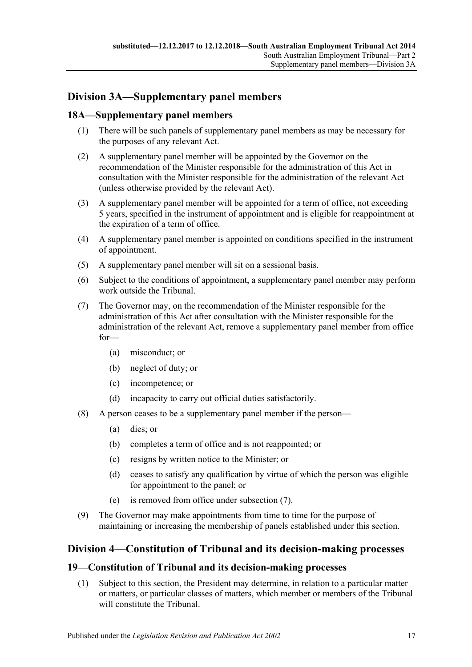# <span id="page-16-0"></span>**Division 3A—Supplementary panel members**

# <span id="page-16-1"></span>**18A—Supplementary panel members**

- (1) There will be such panels of supplementary panel members as may be necessary for the purposes of any relevant Act.
- (2) A supplementary panel member will be appointed by the Governor on the recommendation of the Minister responsible for the administration of this Act in consultation with the Minister responsible for the administration of the relevant Act (unless otherwise provided by the relevant Act).
- (3) A supplementary panel member will be appointed for a term of office, not exceeding 5 years, specified in the instrument of appointment and is eligible for reappointment at the expiration of a term of office.
- (4) A supplementary panel member is appointed on conditions specified in the instrument of appointment.
- (5) A supplementary panel member will sit on a sessional basis.
- (6) Subject to the conditions of appointment, a supplementary panel member may perform work outside the Tribunal.
- <span id="page-16-4"></span>(7) The Governor may, on the recommendation of the Minister responsible for the administration of this Act after consultation with the Minister responsible for the administration of the relevant Act, remove a supplementary panel member from office for—
	- (a) misconduct; or
	- (b) neglect of duty; or
	- (c) incompetence; or
	- (d) incapacity to carry out official duties satisfactorily.
- (8) A person ceases to be a supplementary panel member if the person—
	- (a) dies; or
	- (b) completes a term of office and is not reappointed; or
	- (c) resigns by written notice to the Minister; or
	- (d) ceases to satisfy any qualification by virtue of which the person was eligible for appointment to the panel; or
	- (e) is removed from office under [subsection](#page-16-4) (7).
- (9) The Governor may make appointments from time to time for the purpose of maintaining or increasing the membership of panels established under this section.

# <span id="page-16-2"></span>**Division 4—Constitution of Tribunal and its decision-making processes**

#### <span id="page-16-3"></span>**19—Constitution of Tribunal and its decision-making processes**

(1) Subject to this section, the President may determine, in relation to a particular matter or matters, or particular classes of matters, which member or members of the Tribunal will constitute the Tribunal.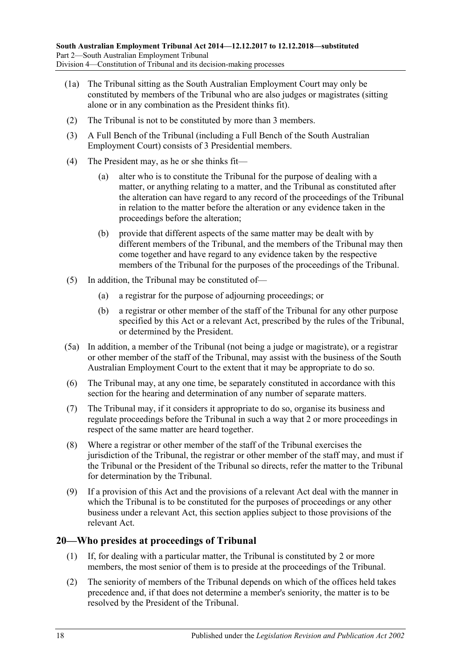- (1a) The Tribunal sitting as the South Australian Employment Court may only be constituted by members of the Tribunal who are also judges or magistrates (sitting alone or in any combination as the President thinks fit).
- (2) The Tribunal is not to be constituted by more than 3 members.
- (3) A Full Bench of the Tribunal (including a Full Bench of the South Australian Employment Court) consists of 3 Presidential members.
- (4) The President may, as he or she thinks fit—
	- (a) alter who is to constitute the Tribunal for the purpose of dealing with a matter, or anything relating to a matter, and the Tribunal as constituted after the alteration can have regard to any record of the proceedings of the Tribunal in relation to the matter before the alteration or any evidence taken in the proceedings before the alteration;
	- (b) provide that different aspects of the same matter may be dealt with by different members of the Tribunal, and the members of the Tribunal may then come together and have regard to any evidence taken by the respective members of the Tribunal for the purposes of the proceedings of the Tribunal.
- (5) In addition, the Tribunal may be constituted of—
	- (a) a registrar for the purpose of adjourning proceedings; or
	- (b) a registrar or other member of the staff of the Tribunal for any other purpose specified by this Act or a relevant Act, prescribed by the rules of the Tribunal, or determined by the President.
- (5a) In addition, a member of the Tribunal (not being a judge or magistrate), or a registrar or other member of the staff of the Tribunal, may assist with the business of the South Australian Employment Court to the extent that it may be appropriate to do so.
- (6) The Tribunal may, at any one time, be separately constituted in accordance with this section for the hearing and determination of any number of separate matters.
- (7) The Tribunal may, if it considers it appropriate to do so, organise its business and regulate proceedings before the Tribunal in such a way that 2 or more proceedings in respect of the same matter are heard together.
- (8) Where a registrar or other member of the staff of the Tribunal exercises the jurisdiction of the Tribunal, the registrar or other member of the staff may, and must if the Tribunal or the President of the Tribunal so directs, refer the matter to the Tribunal for determination by the Tribunal.
- (9) If a provision of this Act and the provisions of a relevant Act deal with the manner in which the Tribunal is to be constituted for the purposes of proceedings or any other business under a relevant Act, this section applies subject to those provisions of the relevant Act.

# <span id="page-17-0"></span>**20—Who presides at proceedings of Tribunal**

- (1) If, for dealing with a particular matter, the Tribunal is constituted by 2 or more members, the most senior of them is to preside at the proceedings of the Tribunal.
- (2) The seniority of members of the Tribunal depends on which of the offices held takes precedence and, if that does not determine a member's seniority, the matter is to be resolved by the President of the Tribunal.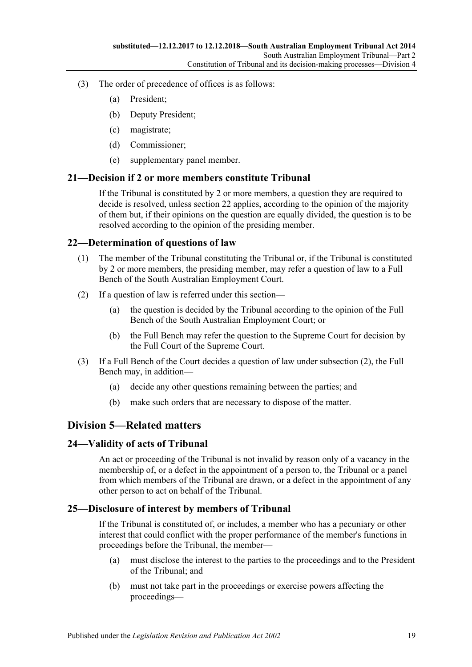- (3) The order of precedence of offices is as follows:
	- (a) President;
	- (b) Deputy President;
	- (c) magistrate;
	- (d) Commissioner;
	- (e) supplementary panel member.

### <span id="page-18-0"></span>**21—Decision if 2 or more members constitute Tribunal**

If the Tribunal is constituted by 2 or more members, a question they are required to decide is resolved, unless [section](#page-18-1) 22 applies, according to the opinion of the majority of them but, if their opinions on the question are equally divided, the question is to be resolved according to the opinion of the presiding member.

### <span id="page-18-1"></span>**22—Determination of questions of law**

- (1) The member of the Tribunal constituting the Tribunal or, if the Tribunal is constituted by 2 or more members, the presiding member, may refer a question of law to a Full Bench of the South Australian Employment Court.
- <span id="page-18-5"></span>(2) If a question of law is referred under this section—
	- (a) the question is decided by the Tribunal according to the opinion of the Full Bench of the South Australian Employment Court; or
	- (b) the Full Bench may refer the question to the Supreme Court for decision by the Full Court of the Supreme Court.
- (3) If a Full Bench of the Court decides a question of law under [subsection](#page-18-5) (2), the Full Bench may, in addition—
	- (a) decide any other questions remaining between the parties; and
	- (b) make such orders that are necessary to dispose of the matter.

# <span id="page-18-2"></span>**Division 5—Related matters**

#### <span id="page-18-3"></span>**24—Validity of acts of Tribunal**

An act or proceeding of the Tribunal is not invalid by reason only of a vacancy in the membership of, or a defect in the appointment of a person to, the Tribunal or a panel from which members of the Tribunal are drawn, or a defect in the appointment of any other person to act on behalf of the Tribunal.

## <span id="page-18-4"></span>**25—Disclosure of interest by members of Tribunal**

If the Tribunal is constituted of, or includes, a member who has a pecuniary or other interest that could conflict with the proper performance of the member's functions in proceedings before the Tribunal, the member—

- (a) must disclose the interest to the parties to the proceedings and to the President of the Tribunal; and
- (b) must not take part in the proceedings or exercise powers affecting the proceedings—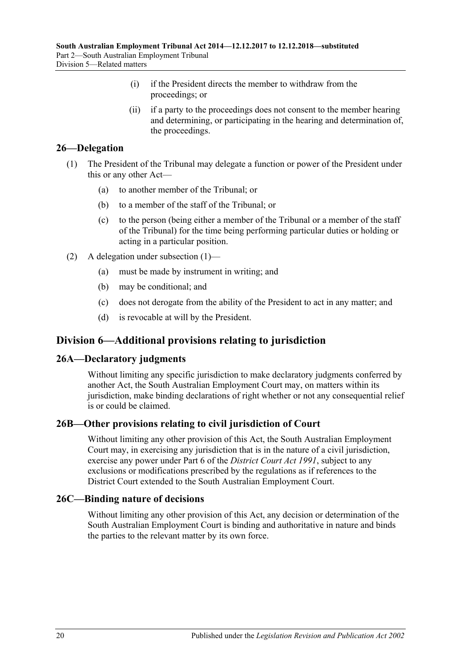- (i) if the President directs the member to withdraw from the proceedings; or
- (ii) if a party to the proceedings does not consent to the member hearing and determining, or participating in the hearing and determination of, the proceedings.

# <span id="page-19-5"></span><span id="page-19-0"></span>**26—Delegation**

- (1) The President of the Tribunal may delegate a function or power of the President under this or any other Act—
	- (a) to another member of the Tribunal; or
	- (b) to a member of the staff of the Tribunal; or
	- (c) to the person (being either a member of the Tribunal or a member of the staff of the Tribunal) for the time being performing particular duties or holding or acting in a particular position.
- (2) A delegation under [subsection](#page-19-5) (1)—
	- (a) must be made by instrument in writing; and
	- (b) may be conditional; and
	- (c) does not derogate from the ability of the President to act in any matter; and
	- (d) is revocable at will by the President.

# <span id="page-19-1"></span>**Division 6—Additional provisions relating to jurisdiction**

## <span id="page-19-2"></span>**26A—Declaratory judgments**

Without limiting any specific jurisdiction to make declaratory judgments conferred by another Act, the South Australian Employment Court may, on matters within its jurisdiction, make binding declarations of right whether or not any consequential relief is or could be claimed.

# <span id="page-19-3"></span>**26B—Other provisions relating to civil jurisdiction of Court**

Without limiting any other provision of this Act, the South Australian Employment Court may, in exercising any jurisdiction that is in the nature of a civil jurisdiction, exercise any power under Part 6 of the *[District Court Act](http://www.legislation.sa.gov.au/index.aspx?action=legref&type=act&legtitle=District%20Court%20Act%201991) 1991*, subject to any exclusions or modifications prescribed by the regulations as if references to the District Court extended to the South Australian Employment Court.

## <span id="page-19-4"></span>**26C—Binding nature of decisions**

Without limiting any other provision of this Act, any decision or determination of the South Australian Employment Court is binding and authoritative in nature and binds the parties to the relevant matter by its own force.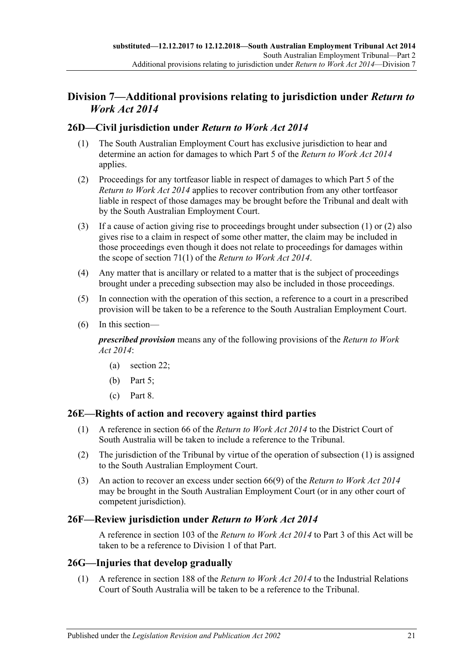# <span id="page-20-0"></span>**Division 7—Additional provisions relating to jurisdiction under** *Return to Work Act 2014*

# <span id="page-20-5"></span><span id="page-20-1"></span>**26D—Civil jurisdiction under** *Return to Work Act 2014*

- (1) The South Australian Employment Court has exclusive jurisdiction to hear and determine an action for damages to which Part 5 of the *[Return to Work Act](http://www.legislation.sa.gov.au/index.aspx?action=legref&type=act&legtitle=Return%20to%20Work%20Act%202014) 2014* applies.
- <span id="page-20-6"></span>(2) Proceedings for any tortfeasor liable in respect of damages to which Part 5 of the *[Return to Work Act](http://www.legislation.sa.gov.au/index.aspx?action=legref&type=act&legtitle=Return%20to%20Work%20Act%202014) 2014* applies to recover contribution from any other tortfeasor liable in respect of those damages may be brought before the Tribunal and dealt with by the South Australian Employment Court.
- (3) If a cause of action giving rise to proceedings brought under [subsection](#page-20-5) (1) or [\(2\)](#page-20-6) also gives rise to a claim in respect of some other matter, the claim may be included in those proceedings even though it does not relate to proceedings for damages within the scope of section 71(1) of the *[Return to Work Act](http://www.legislation.sa.gov.au/index.aspx?action=legref&type=act&legtitle=Return%20to%20Work%20Act%202014) 2014*.
- (4) Any matter that is ancillary or related to a matter that is the subject of proceedings brought under a preceding subsection may also be included in those proceedings.
- (5) In connection with the operation of this section, a reference to a court in a prescribed provision will be taken to be a reference to the South Australian Employment Court.
- (6) In this section—

*prescribed provision* means any of the following provisions of the *[Return to Work](http://www.legislation.sa.gov.au/index.aspx?action=legref&type=act&legtitle=Return%20to%20Work%20Act%202014)  Act [2014](http://www.legislation.sa.gov.au/index.aspx?action=legref&type=act&legtitle=Return%20to%20Work%20Act%202014)*:

- (a) section 22;
- (b) Part 5;
- (c) Part 8.

## <span id="page-20-7"></span><span id="page-20-2"></span>**26E—Rights of action and recovery against third parties**

- (1) A reference in section 66 of the *[Return to Work Act](http://www.legislation.sa.gov.au/index.aspx?action=legref&type=act&legtitle=Return%20to%20Work%20Act%202014) 2014* to the District Court of South Australia will be taken to include a reference to the Tribunal.
- (2) The jurisdiction of the Tribunal by virtue of the operation of [subsection](#page-20-7) (1) is assigned to the South Australian Employment Court.
- (3) An action to recover an excess under section 66(9) of the *[Return to Work Act 2014](http://www.legislation.sa.gov.au/index.aspx?action=legref&type=act&legtitle=Return%20to%20Work%20Act%202014)* may be brought in the South Australian Employment Court (or in any other court of competent jurisdiction).

# <span id="page-20-3"></span>**26F—Review jurisdiction under** *Return to Work Act 2014*

A reference in section 103 of the *[Return to Work Act](http://www.legislation.sa.gov.au/index.aspx?action=legref&type=act&legtitle=Return%20to%20Work%20Act%202014) 2014* to [Part](#page-22-0) 3 of this Act will be taken to be a reference to [Division 1](#page-22-1) of that Part.

## <span id="page-20-8"></span><span id="page-20-4"></span>**26G—Injuries that develop gradually**

(1) A reference in section 188 of the *[Return to Work Act](http://www.legislation.sa.gov.au/index.aspx?action=legref&type=act&legtitle=Return%20to%20Work%20Act%202014) 2014* to the Industrial Relations Court of South Australia will be taken to be a reference to the Tribunal.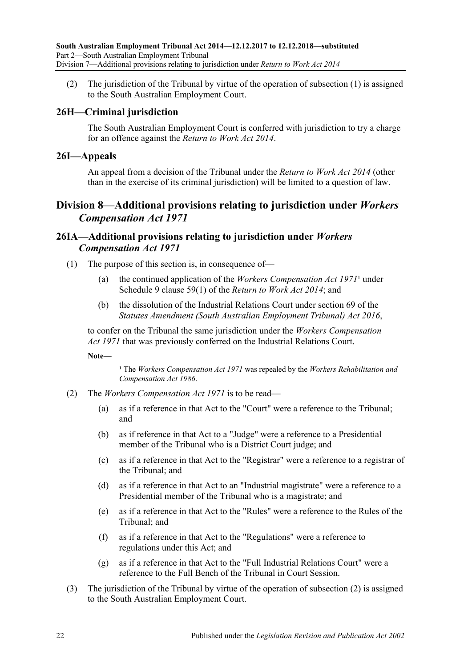(2) The jurisdiction of the Tribunal by virtue of the operation of [subsection](#page-20-8) (1) is assigned to the South Australian Employment Court.

# <span id="page-21-0"></span>**26H—Criminal jurisdiction**

The South Australian Employment Court is conferred with jurisdiction to try a charge for an offence against the *[Return to Work Act](http://www.legislation.sa.gov.au/index.aspx?action=legref&type=act&legtitle=Return%20to%20Work%20Act%202014) 2014*.

### <span id="page-21-1"></span>**26I—Appeals**

An appeal from a decision of the Tribunal under the *[Return to Work Act](http://www.legislation.sa.gov.au/index.aspx?action=legref&type=act&legtitle=Return%20to%20Work%20Act%202014) 2014* (other than in the exercise of its criminal jurisdiction) will be limited to a question of law.

# <span id="page-21-2"></span>**Division 8—Additional provisions relating to jurisdiction under** *Workers Compensation Act 1971*

# <span id="page-21-3"></span>**26IA—Additional provisions relating to jurisdiction under** *Workers Compensation Act 1971*

- (1) The purpose of this section is, in consequence of—
	- (a) the continued application of the *[Workers Compensation Act](http://www.legislation.sa.gov.au/index.aspx?action=legref&type=act&legtitle=Workers%20Compensation%20Act%201971)*  $1971<sup>1</sup>$  under Schedule 9 clause 59(1) of the *[Return to Work Act](http://www.legislation.sa.gov.au/index.aspx?action=legref&type=act&legtitle=Return%20to%20Work%20Act%202014) 2014*; and
	- (b) the dissolution of the Industrial Relations Court under section 69 of the *[Statutes Amendment \(South Australian Employment Tribunal\) Act](http://www.legislation.sa.gov.au/index.aspx?action=legref&type=act&legtitle=Statutes%20Amendment%20(South%20Australian%20Employment%20Tribunal)%20Act%202016) 2016*,

to confer on the Tribunal the same jurisdiction under the *[Workers Compensation](http://www.legislation.sa.gov.au/index.aspx?action=legref&type=act&legtitle=Workers%20Compensation%20Act%201971)  Act [1971](http://www.legislation.sa.gov.au/index.aspx?action=legref&type=act&legtitle=Workers%20Compensation%20Act%201971)* that was previously conferred on the Industrial Relations Court.

**Note—**

<sup>1</sup> The *[Workers Compensation Act](http://www.legislation.sa.gov.au/index.aspx?action=legref&type=act&legtitle=Workers%20Compensation%20Act%201971) 1971* was repealed by the *Workers Rehabilitation and [Compensation Act](http://www.legislation.sa.gov.au/index.aspx?action=legref&type=act&legtitle=Workers%20Rehabilitation%20and%20Compensation%20Act%201986) 1986*.

- <span id="page-21-4"></span>(2) The *[Workers Compensation Act](http://www.legislation.sa.gov.au/index.aspx?action=legref&type=act&legtitle=Workers%20Compensation%20Act%201971) 1971* is to be read—
	- (a) as if a reference in that Act to the "Court" were a reference to the Tribunal; and
	- (b) as if reference in that Act to a "Judge" were a reference to a Presidential member of the Tribunal who is a District Court judge; and
	- (c) as if a reference in that Act to the "Registrar" were a reference to a registrar of the Tribunal; and
	- (d) as if a reference in that Act to an "Industrial magistrate" were a reference to a Presidential member of the Tribunal who is a magistrate; and
	- (e) as if a reference in that Act to the "Rules" were a reference to the Rules of the Tribunal; and
	- (f) as if a reference in that Act to the "Regulations" were a reference to regulations under this Act; and
	- (g) as if a reference in that Act to the "Full Industrial Relations Court" were a reference to the Full Bench of the Tribunal in Court Session.
- (3) The jurisdiction of the Tribunal by virtue of the operation of [subsection](#page-21-4) (2) is assigned to the South Australian Employment Court.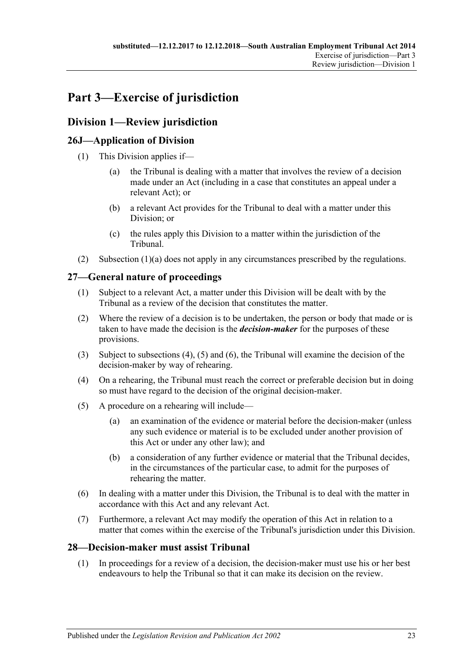# <span id="page-22-0"></span>**Part 3—Exercise of jurisdiction**

# <span id="page-22-1"></span>**Division 1—Review jurisdiction**

# <span id="page-22-2"></span>**26J—Application of Division**

- <span id="page-22-6"></span>(1) This Division applies if—
	- (a) the Tribunal is dealing with a matter that involves the review of a decision made under an Act (including in a case that constitutes an appeal under a relevant Act); or
	- (b) a relevant Act provides for the Tribunal to deal with a matter under this Division; or
	- (c) the rules apply this Division to a matter within the jurisdiction of the Tribunal.
- (2) [Subsection](#page-22-6) (1)(a) does not apply in any circumstances prescribed by the regulations.

# <span id="page-22-3"></span>**27—General nature of proceedings**

- (1) Subject to a relevant Act, a matter under this Division will be dealt with by the Tribunal as a review of the decision that constitutes the matter.
- <span id="page-22-5"></span>(2) Where the review of a decision is to be undertaken, the person or body that made or is taken to have made the decision is the *decision-maker* for the purposes of these provisions.
- (3) Subject to [subsections \(4\),](#page-22-7) [\(5\)](#page-22-8) and [\(6\),](#page-22-9) the Tribunal will examine the decision of the decision-maker by way of rehearing.
- <span id="page-22-7"></span>(4) On a rehearing, the Tribunal must reach the correct or preferable decision but in doing so must have regard to the decision of the original decision-maker.
- <span id="page-22-8"></span>(5) A procedure on a rehearing will include—
	- (a) an examination of the evidence or material before the decision-maker (unless any such evidence or material is to be excluded under another provision of this Act or under any other law); and
	- (b) a consideration of any further evidence or material that the Tribunal decides, in the circumstances of the particular case, to admit for the purposes of rehearing the matter.
- <span id="page-22-9"></span>(6) In dealing with a matter under this Division, the Tribunal is to deal with the matter in accordance with this Act and any relevant Act.
- (7) Furthermore, a relevant Act may modify the operation of this Act in relation to a matter that comes within the exercise of the Tribunal's jurisdiction under this Division.

# <span id="page-22-10"></span><span id="page-22-4"></span>**28—Decision-maker must assist Tribunal**

(1) In proceedings for a review of a decision, the decision-maker must use his or her best endeavours to help the Tribunal so that it can make its decision on the review.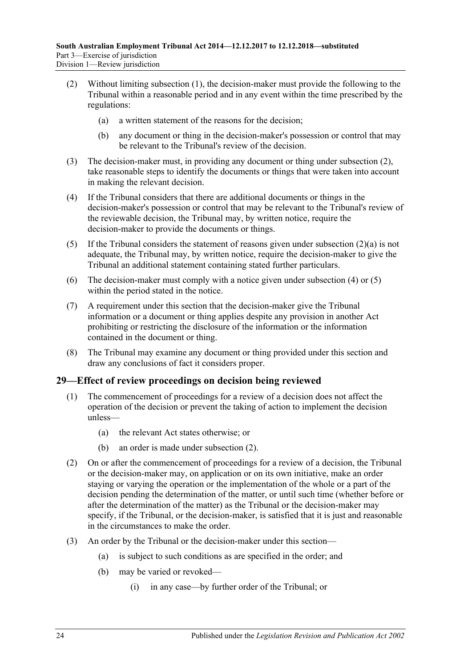- <span id="page-23-2"></span><span id="page-23-1"></span>(2) Without limiting [subsection](#page-22-10) (1), the decision-maker must provide the following to the Tribunal within a reasonable period and in any event within the time prescribed by the regulations:
	- (a) a written statement of the reasons for the decision;
	- (b) any document or thing in the decision-maker's possession or control that may be relevant to the Tribunal's review of the decision.
- (3) The decision-maker must, in providing any document or thing under [subsection](#page-23-1) (2), take reasonable steps to identify the documents or things that were taken into account in making the relevant decision.
- <span id="page-23-3"></span>(4) If the Tribunal considers that there are additional documents or things in the decision-maker's possession or control that may be relevant to the Tribunal's review of the reviewable decision, the Tribunal may, by written notice, require the decision-maker to provide the documents or things.
- <span id="page-23-4"></span>(5) If the Tribunal considers the statement of reasons given under [subsection](#page-23-2) (2)(a) is not adequate, the Tribunal may, by written notice, require the decision-maker to give the Tribunal an additional statement containing stated further particulars.
- (6) The decision-maker must comply with a notice given under [subsection](#page-23-3) (4) or [\(5\)](#page-23-4) within the period stated in the notice.
- (7) A requirement under this section that the decision-maker give the Tribunal information or a document or thing applies despite any provision in another Act prohibiting or restricting the disclosure of the information or the information contained in the document or thing.
- (8) The Tribunal may examine any document or thing provided under this section and draw any conclusions of fact it considers proper.

## <span id="page-23-0"></span>**29—Effect of review proceedings on decision being reviewed**

- (1) The commencement of proceedings for a review of a decision does not affect the operation of the decision or prevent the taking of action to implement the decision unless—
	- (a) the relevant Act states otherwise; or
	- (b) an order is made under [subsection](#page-23-5) (2).
- <span id="page-23-5"></span>(2) On or after the commencement of proceedings for a review of a decision, the Tribunal or the decision-maker may, on application or on its own initiative, make an order staying or varying the operation or the implementation of the whole or a part of the decision pending the determination of the matter, or until such time (whether before or after the determination of the matter) as the Tribunal or the decision-maker may specify, if the Tribunal, or the decision-maker, is satisfied that it is just and reasonable in the circumstances to make the order.
- (3) An order by the Tribunal or the decision-maker under this section—
	- (a) is subject to such conditions as are specified in the order; and
	- (b) may be varied or revoked—
		- (i) in any case—by further order of the Tribunal; or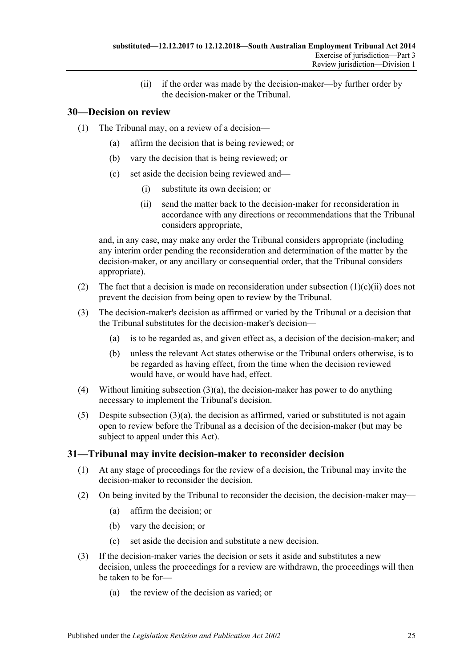(ii) if the order was made by the decision-maker—by further order by the decision-maker or the Tribunal.

# <span id="page-24-0"></span>**30—Decision on review**

- (1) The Tribunal may, on a review of a decision—
	- (a) affirm the decision that is being reviewed; or
	- (b) vary the decision that is being reviewed; or
	- (c) set aside the decision being reviewed and—
		- (i) substitute its own decision; or
		- (ii) send the matter back to the decision-maker for reconsideration in accordance with any directions or recommendations that the Tribunal considers appropriate,

<span id="page-24-2"></span>and, in any case, may make any order the Tribunal considers appropriate (including any interim order pending the reconsideration and determination of the matter by the decision-maker, or any ancillary or consequential order, that the Tribunal considers appropriate).

- (2) The fact that a decision is made on reconsideration under [subsection](#page-24-2)  $(1)(c)(ii)$  does not prevent the decision from being open to review by the Tribunal.
- <span id="page-24-3"></span>(3) The decision-maker's decision as affirmed or varied by the Tribunal or a decision that the Tribunal substitutes for the decision-maker's decision—
	- (a) is to be regarded as, and given effect as, a decision of the decision-maker; and
	- (b) unless the relevant Act states otherwise or the Tribunal orders otherwise, is to be regarded as having effect, from the time when the decision reviewed would have, or would have had, effect.
- (4) Without limiting [subsection](#page-24-3)  $(3)(a)$ , the decision-maker has power to do anything necessary to implement the Tribunal's decision.
- (5) Despite [subsection](#page-24-3)  $(3)(a)$ , the decision as affirmed, varied or substituted is not again open to review before the Tribunal as a decision of the decision-maker (but may be subject to appeal under this Act).

## <span id="page-24-1"></span>**31—Tribunal may invite decision-maker to reconsider decision**

- (1) At any stage of proceedings for the review of a decision, the Tribunal may invite the decision-maker to reconsider the decision.
- (2) On being invited by the Tribunal to reconsider the decision, the decision-maker may—
	- (a) affirm the decision; or
	- (b) vary the decision; or
	- (c) set aside the decision and substitute a new decision.
- (3) If the decision-maker varies the decision or sets it aside and substitutes a new decision, unless the proceedings for a review are withdrawn, the proceedings will then be taken to be for—
	- (a) the review of the decision as varied; or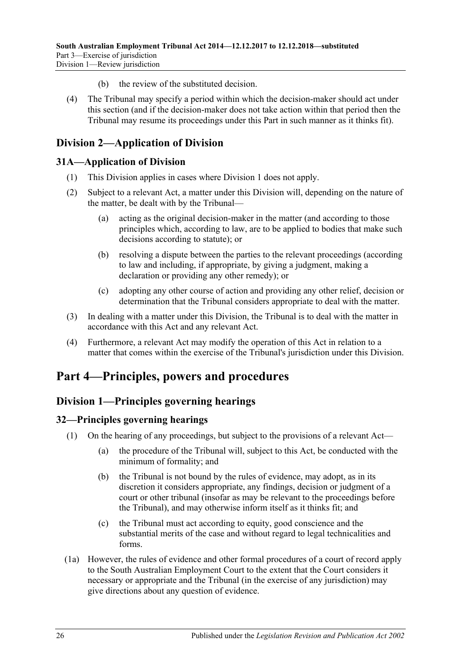- (b) the review of the substituted decision.
- (4) The Tribunal may specify a period within which the decision-maker should act under this section (and if the decision-maker does not take action within that period then the Tribunal may resume its proceedings under this Part in such manner as it thinks fit).

# <span id="page-25-0"></span>**Division 2—Application of Division**

# <span id="page-25-1"></span>**31A—Application of Division**

- (1) This Division applies in cases where [Division 1](#page-22-1) does not apply.
- (2) Subject to a relevant Act, a matter under this Division will, depending on the nature of the matter, be dealt with by the Tribunal—
	- (a) acting as the original decision-maker in the matter (and according to those principles which, according to law, are to be applied to bodies that make such decisions according to statute); or
	- (b) resolving a dispute between the parties to the relevant proceedings (according to law and including, if appropriate, by giving a judgment, making a declaration or providing any other remedy); or
	- (c) adopting any other course of action and providing any other relief, decision or determination that the Tribunal considers appropriate to deal with the matter.
- (3) In dealing with a matter under this Division, the Tribunal is to deal with the matter in accordance with this Act and any relevant Act.
- (4) Furthermore, a relevant Act may modify the operation of this Act in relation to a matter that comes within the exercise of the Tribunal's jurisdiction under this Division.

# <span id="page-25-2"></span>**Part 4—Principles, powers and procedures**

# <span id="page-25-3"></span>**Division 1—Principles governing hearings**

# <span id="page-25-4"></span>**32—Principles governing hearings**

- (1) On the hearing of any proceedings, but subject to the provisions of a relevant Act—
	- (a) the procedure of the Tribunal will, subject to this Act, be conducted with the minimum of formality; and
	- (b) the Tribunal is not bound by the rules of evidence, may adopt, as in its discretion it considers appropriate, any findings, decision or judgment of a court or other tribunal (insofar as may be relevant to the proceedings before the Tribunal), and may otherwise inform itself as it thinks fit; and
	- (c) the Tribunal must act according to equity, good conscience and the substantial merits of the case and without regard to legal technicalities and forms.
- (1a) However, the rules of evidence and other formal procedures of a court of record apply to the South Australian Employment Court to the extent that the Court considers it necessary or appropriate and the Tribunal (in the exercise of any jurisdiction) may give directions about any question of evidence.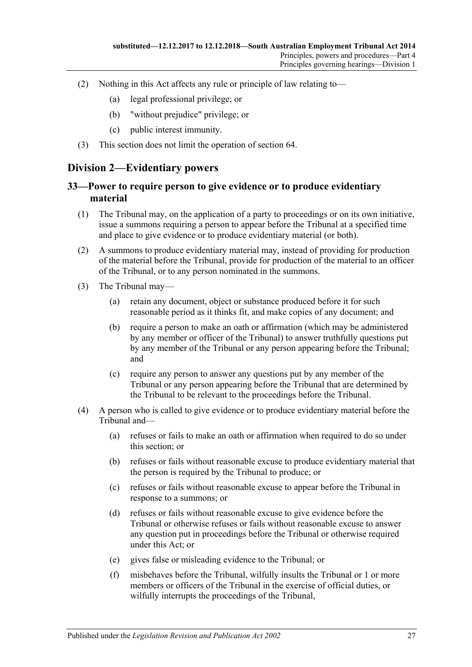- (2) Nothing in this Act affects any rule or principle of law relating to—
	- (a) legal professional privilege; or
	- (b) "without prejudice" privilege; or
	- (c) public interest immunity.
- (3) This section does not limit the operation of [section](#page-39-1) 64.

# <span id="page-26-0"></span>**Division 2—Evidentiary powers**

# <span id="page-26-1"></span>**33—Power to require person to give evidence or to produce evidentiary material**

- (1) The Tribunal may, on the application of a party to proceedings or on its own initiative, issue a summons requiring a person to appear before the Tribunal at a specified time and place to give evidence or to produce evidentiary material (or both).
- (2) A summons to produce evidentiary material may, instead of providing for production of the material before the Tribunal, provide for production of the material to an officer of the Tribunal, or to any person nominated in the summons.
- (3) The Tribunal may—
	- (a) retain any document, object or substance produced before it for such reasonable period as it thinks fit, and make copies of any document; and
	- (b) require a person to make an oath or affirmation (which may be administered by any member or officer of the Tribunal) to answer truthfully questions put by any member of the Tribunal or any person appearing before the Tribunal; and
	- (c) require any person to answer any questions put by any member of the Tribunal or any person appearing before the Tribunal that are determined by the Tribunal to be relevant to the proceedings before the Tribunal.
- (4) A person who is called to give evidence or to produce evidentiary material before the Tribunal and—
	- (a) refuses or fails to make an oath or affirmation when required to do so under this section; or
	- (b) refuses or fails without reasonable excuse to produce evidentiary material that the person is required by the Tribunal to produce; or
	- (c) refuses or fails without reasonable excuse to appear before the Tribunal in response to a summons; or
	- (d) refuses or fails without reasonable excuse to give evidence before the Tribunal or otherwise refuses or fails without reasonable excuse to answer any question put in proceedings before the Tribunal or otherwise required under this Act; or
	- (e) gives false or misleading evidence to the Tribunal; or
	- (f) misbehaves before the Tribunal, wilfully insults the Tribunal or 1 or more members or officers of the Tribunal in the exercise of official duties, or wilfully interrupts the proceedings of the Tribunal,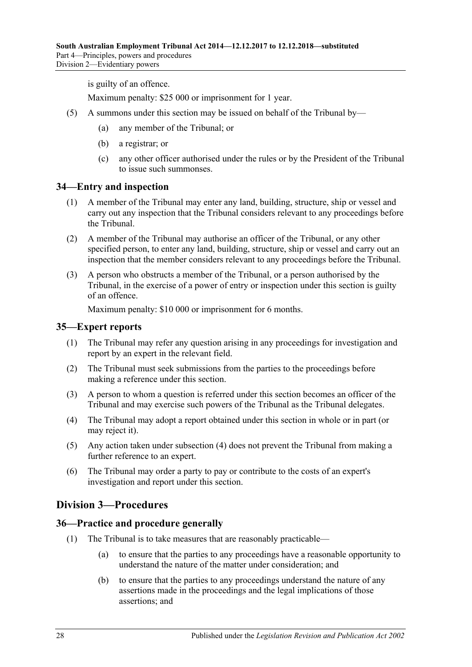is guilty of an offence.

Maximum penalty: \$25 000 or imprisonment for 1 year.

- (5) A summons under this section may be issued on behalf of the Tribunal by—
	- (a) any member of the Tribunal; or
	- (b) a registrar; or
	- (c) any other officer authorised under the rules or by the President of the Tribunal to issue such summonses.

#### <span id="page-27-0"></span>**34—Entry and inspection**

- (1) A member of the Tribunal may enter any land, building, structure, ship or vessel and carry out any inspection that the Tribunal considers relevant to any proceedings before the Tribunal.
- (2) A member of the Tribunal may authorise an officer of the Tribunal, or any other specified person, to enter any land, building, structure, ship or vessel and carry out an inspection that the member considers relevant to any proceedings before the Tribunal.
- (3) A person who obstructs a member of the Tribunal, or a person authorised by the Tribunal, in the exercise of a power of entry or inspection under this section is guilty of an offence.

Maximum penalty: \$10 000 or imprisonment for 6 months.

#### <span id="page-27-1"></span>**35—Expert reports**

- (1) The Tribunal may refer any question arising in any proceedings for investigation and report by an expert in the relevant field.
- (2) The Tribunal must seek submissions from the parties to the proceedings before making a reference under this section.
- (3) A person to whom a question is referred under this section becomes an officer of the Tribunal and may exercise such powers of the Tribunal as the Tribunal delegates.
- <span id="page-27-4"></span>(4) The Tribunal may adopt a report obtained under this section in whole or in part (or may reject it).
- (5) Any action taken under [subsection](#page-27-4) (4) does not prevent the Tribunal from making a further reference to an expert.
- (6) The Tribunal may order a party to pay or contribute to the costs of an expert's investigation and report under this section.

# <span id="page-27-2"></span>**Division 3—Procedures**

#### <span id="page-27-3"></span>**36—Practice and procedure generally**

- (1) The Tribunal is to take measures that are reasonably practicable—
	- (a) to ensure that the parties to any proceedings have a reasonable opportunity to understand the nature of the matter under consideration; and
	- (b) to ensure that the parties to any proceedings understand the nature of any assertions made in the proceedings and the legal implications of those assertions; and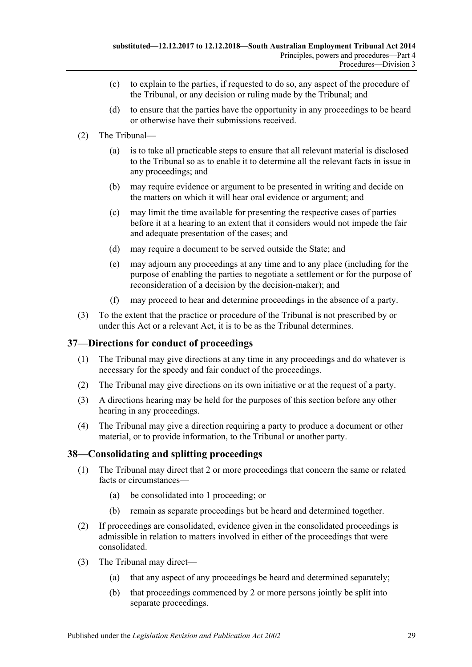- (c) to explain to the parties, if requested to do so, any aspect of the procedure of the Tribunal, or any decision or ruling made by the Tribunal; and
- (d) to ensure that the parties have the opportunity in any proceedings to be heard or otherwise have their submissions received.
- (2) The Tribunal—
	- (a) is to take all practicable steps to ensure that all relevant material is disclosed to the Tribunal so as to enable it to determine all the relevant facts in issue in any proceedings; and
	- (b) may require evidence or argument to be presented in writing and decide on the matters on which it will hear oral evidence or argument; and
	- (c) may limit the time available for presenting the respective cases of parties before it at a hearing to an extent that it considers would not impede the fair and adequate presentation of the cases; and
	- (d) may require a document to be served outside the State; and
	- (e) may adjourn any proceedings at any time and to any place (including for the purpose of enabling the parties to negotiate a settlement or for the purpose of reconsideration of a decision by the decision-maker); and
	- (f) may proceed to hear and determine proceedings in the absence of a party.
- (3) To the extent that the practice or procedure of the Tribunal is not prescribed by or under this Act or a relevant Act, it is to be as the Tribunal determines.

## <span id="page-28-0"></span>**37—Directions for conduct of proceedings**

- (1) The Tribunal may give directions at any time in any proceedings and do whatever is necessary for the speedy and fair conduct of the proceedings.
- (2) The Tribunal may give directions on its own initiative or at the request of a party.
- (3) A directions hearing may be held for the purposes of this section before any other hearing in any proceedings.
- (4) The Tribunal may give a direction requiring a party to produce a document or other material, or to provide information, to the Tribunal or another party.

## <span id="page-28-1"></span>**38—Consolidating and splitting proceedings**

- (1) The Tribunal may direct that 2 or more proceedings that concern the same or related facts or circumstances—
	- (a) be consolidated into 1 proceeding; or
	- (b) remain as separate proceedings but be heard and determined together.
- (2) If proceedings are consolidated, evidence given in the consolidated proceedings is admissible in relation to matters involved in either of the proceedings that were consolidated.
- (3) The Tribunal may direct—
	- (a) that any aspect of any proceedings be heard and determined separately;
	- (b) that proceedings commenced by 2 or more persons jointly be split into separate proceedings.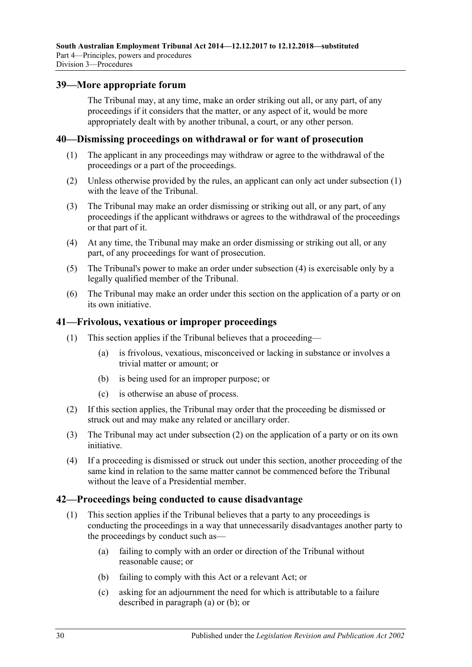### <span id="page-29-0"></span>**39—More appropriate forum**

The Tribunal may, at any time, make an order striking out all, or any part, of any proceedings if it considers that the matter, or any aspect of it, would be more appropriately dealt with by another tribunal, a court, or any other person.

#### <span id="page-29-4"></span><span id="page-29-1"></span>**40—Dismissing proceedings on withdrawal or for want of prosecution**

- (1) The applicant in any proceedings may withdraw or agree to the withdrawal of the proceedings or a part of the proceedings.
- (2) Unless otherwise provided by the rules, an applicant can only act under [subsection](#page-29-4) (1) with the leave of the Tribunal.
- (3) The Tribunal may make an order dismissing or striking out all, or any part, of any proceedings if the applicant withdraws or agrees to the withdrawal of the proceedings or that part of it.
- <span id="page-29-5"></span>(4) At any time, the Tribunal may make an order dismissing or striking out all, or any part, of any proceedings for want of prosecution.
- (5) The Tribunal's power to make an order under [subsection](#page-29-5) (4) is exercisable only by a legally qualified member of the Tribunal.
- (6) The Tribunal may make an order under this section on the application of a party or on its own initiative.

### <span id="page-29-2"></span>**41—Frivolous, vexatious or improper proceedings**

- (1) This section applies if the Tribunal believes that a proceeding—
	- (a) is frivolous, vexatious, misconceived or lacking in substance or involves a trivial matter or amount; or
	- (b) is being used for an improper purpose; or
	- (c) is otherwise an abuse of process.
- <span id="page-29-6"></span>(2) If this section applies, the Tribunal may order that the proceeding be dismissed or struck out and may make any related or ancillary order.
- (3) The Tribunal may act under [subsection](#page-29-6) (2) on the application of a party or on its own initiative.
- (4) If a proceeding is dismissed or struck out under this section, another proceeding of the same kind in relation to the same matter cannot be commenced before the Tribunal without the leave of a Presidential member.

#### <span id="page-29-3"></span>**42—Proceedings being conducted to cause disadvantage**

- <span id="page-29-8"></span><span id="page-29-7"></span>(1) This section applies if the Tribunal believes that a party to any proceedings is conducting the proceedings in a way that unnecessarily disadvantages another party to the proceedings by conduct such as—
	- (a) failing to comply with an order or direction of the Tribunal without reasonable cause; or
	- (b) failing to comply with this Act or a relevant Act; or
	- (c) asking for an adjournment the need for which is attributable to a failure described in [paragraph](#page-29-7) (a) or [\(b\);](#page-29-8) or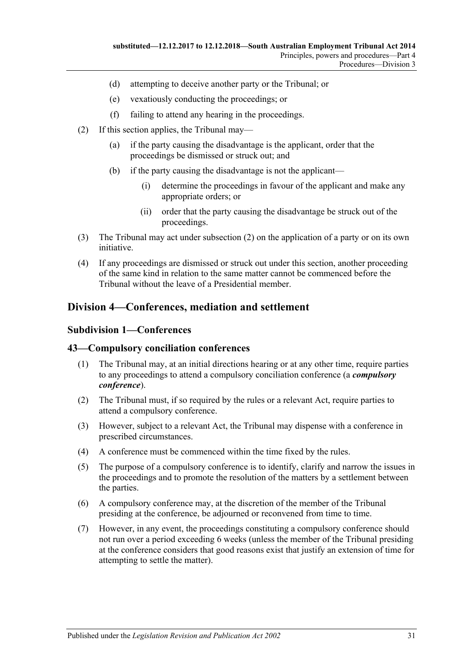- (d) attempting to deceive another party or the Tribunal; or
- (e) vexatiously conducting the proceedings; or
- (f) failing to attend any hearing in the proceedings.
- <span id="page-30-3"></span>(2) If this section applies, the Tribunal may—
	- (a) if the party causing the disadvantage is the applicant, order that the proceedings be dismissed or struck out; and
	- (b) if the party causing the disadvantage is not the applicant—
		- (i) determine the proceedings in favour of the applicant and make any appropriate orders; or
		- (ii) order that the party causing the disadvantage be struck out of the proceedings.
- (3) The Tribunal may act under [subsection](#page-30-3) (2) on the application of a party or on its own initiative.
- (4) If any proceedings are dismissed or struck out under this section, another proceeding of the same kind in relation to the same matter cannot be commenced before the Tribunal without the leave of a Presidential member.

# <span id="page-30-1"></span><span id="page-30-0"></span>**Division 4—Conferences, mediation and settlement**

#### **Subdivision 1—Conferences**

#### <span id="page-30-2"></span>**43—Compulsory conciliation conferences**

- (1) The Tribunal may, at an initial directions hearing or at any other time, require parties to any proceedings to attend a compulsory conciliation conference (a *compulsory conference*).
- (2) The Tribunal must, if so required by the rules or a relevant Act, require parties to attend a compulsory conference.
- (3) However, subject to a relevant Act, the Tribunal may dispense with a conference in prescribed circumstances.
- (4) A conference must be commenced within the time fixed by the rules.
- (5) The purpose of a compulsory conference is to identify, clarify and narrow the issues in the proceedings and to promote the resolution of the matters by a settlement between the parties.
- (6) A compulsory conference may, at the discretion of the member of the Tribunal presiding at the conference, be adjourned or reconvened from time to time.
- (7) However, in any event, the proceedings constituting a compulsory conference should not run over a period exceeding 6 weeks (unless the member of the Tribunal presiding at the conference considers that good reasons exist that justify an extension of time for attempting to settle the matter).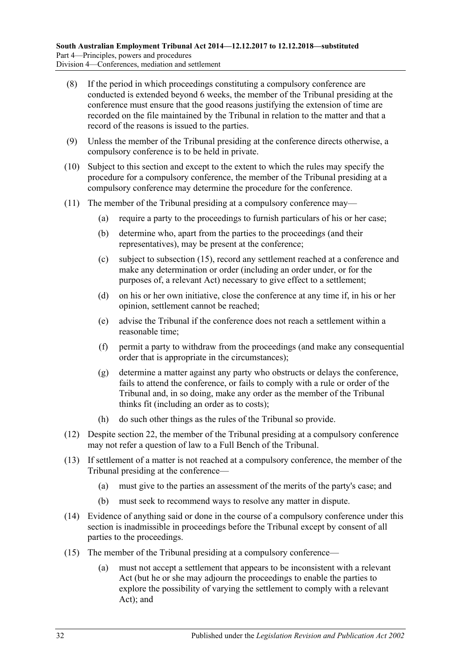- (8) If the period in which proceedings constituting a compulsory conference are conducted is extended beyond 6 weeks, the member of the Tribunal presiding at the conference must ensure that the good reasons justifying the extension of time are recorded on the file maintained by the Tribunal in relation to the matter and that a record of the reasons is issued to the parties.
- (9) Unless the member of the Tribunal presiding at the conference directs otherwise, a compulsory conference is to be held in private.
- (10) Subject to this section and except to the extent to which the rules may specify the procedure for a compulsory conference, the member of the Tribunal presiding at a compulsory conference may determine the procedure for the conference.
- (11) The member of the Tribunal presiding at a compulsory conference may—
	- (a) require a party to the proceedings to furnish particulars of his or her case;
	- (b) determine who, apart from the parties to the proceedings (and their representatives), may be present at the conference;
	- (c) subject to [subsection](#page-31-0) (15), record any settlement reached at a conference and make any determination or order (including an order under, or for the purposes of, a relevant Act) necessary to give effect to a settlement;
	- (d) on his or her own initiative, close the conference at any time if, in his or her opinion, settlement cannot be reached;
	- (e) advise the Tribunal if the conference does not reach a settlement within a reasonable time;
	- (f) permit a party to withdraw from the proceedings (and make any consequential order that is appropriate in the circumstances);
	- (g) determine a matter against any party who obstructs or delays the conference, fails to attend the conference, or fails to comply with a rule or order of the Tribunal and, in so doing, make any order as the member of the Tribunal thinks fit (including an order as to costs);
	- (h) do such other things as the rules of the Tribunal so provide.
- (12) Despite [section](#page-18-1) 22, the member of the Tribunal presiding at a compulsory conference may not refer a question of law to a Full Bench of the Tribunal.
- (13) If settlement of a matter is not reached at a compulsory conference, the member of the Tribunal presiding at the conference—
	- (a) must give to the parties an assessment of the merits of the party's case; and
	- (b) must seek to recommend ways to resolve any matter in dispute.
- (14) Evidence of anything said or done in the course of a compulsory conference under this section is inadmissible in proceedings before the Tribunal except by consent of all parties to the proceedings.
- <span id="page-31-0"></span>(15) The member of the Tribunal presiding at a compulsory conference—
	- (a) must not accept a settlement that appears to be inconsistent with a relevant Act (but he or she may adjourn the proceedings to enable the parties to explore the possibility of varying the settlement to comply with a relevant Act); and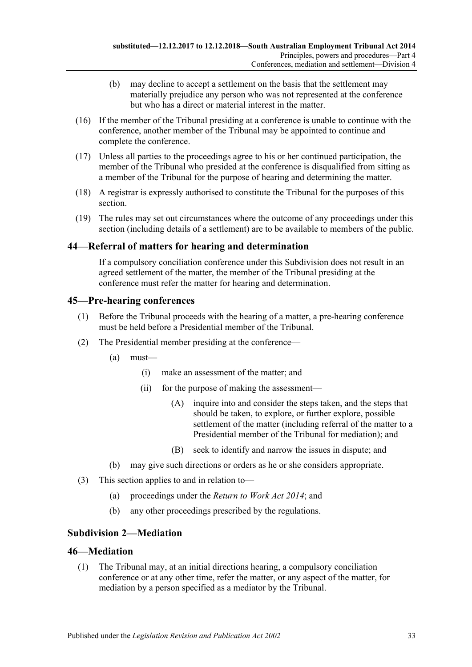- (b) may decline to accept a settlement on the basis that the settlement may materially prejudice any person who was not represented at the conference but who has a direct or material interest in the matter.
- (16) If the member of the Tribunal presiding at a conference is unable to continue with the conference, another member of the Tribunal may be appointed to continue and complete the conference.
- (17) Unless all parties to the proceedings agree to his or her continued participation, the member of the Tribunal who presided at the conference is disqualified from sitting as a member of the Tribunal for the purpose of hearing and determining the matter.
- (18) A registrar is expressly authorised to constitute the Tribunal for the purposes of this section.
- (19) The rules may set out circumstances where the outcome of any proceedings under this section (including details of a settlement) are to be available to members of the public.

## <span id="page-32-0"></span>**44—Referral of matters for hearing and determination**

If a compulsory conciliation conference under this Subdivision does not result in an agreed settlement of the matter, the member of the Tribunal presiding at the conference must refer the matter for hearing and determination.

## <span id="page-32-1"></span>**45—Pre-hearing conferences**

- (1) Before the Tribunal proceeds with the hearing of a matter, a pre-hearing conference must be held before a Presidential member of the Tribunal.
- (2) The Presidential member presiding at the conference—
	- (a) must—
		- (i) make an assessment of the matter; and
		- (ii) for the purpose of making the assessment—
			- (A) inquire into and consider the steps taken, and the steps that should be taken, to explore, or further explore, possible settlement of the matter (including referral of the matter to a Presidential member of the Tribunal for mediation); and
			- (B) seek to identify and narrow the issues in dispute; and
	- (b) may give such directions or orders as he or she considers appropriate.
- (3) This section applies to and in relation to—
	- (a) proceedings under the *[Return to Work Act](http://www.legislation.sa.gov.au/index.aspx?action=legref&type=act&legtitle=Return%20to%20Work%20Act%202014) 2014*; and
	- (b) any other proceedings prescribed by the regulations.

# <span id="page-32-2"></span>**Subdivision 2—Mediation**

## <span id="page-32-3"></span>**46—Mediation**

(1) The Tribunal may, at an initial directions hearing, a compulsory conciliation conference or at any other time, refer the matter, or any aspect of the matter, for mediation by a person specified as a mediator by the Tribunal.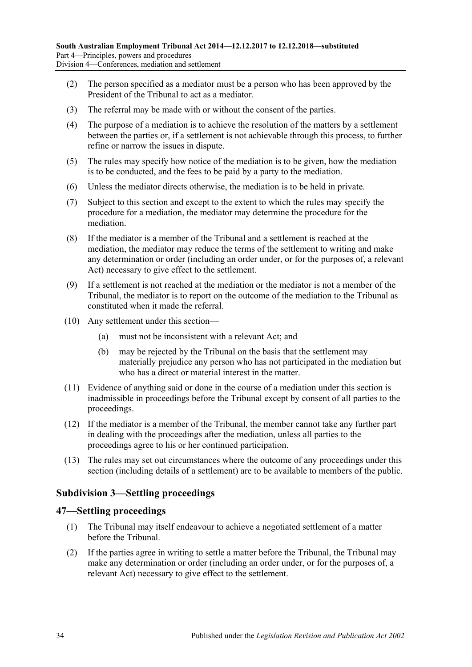- (2) The person specified as a mediator must be a person who has been approved by the President of the Tribunal to act as a mediator.
- (3) The referral may be made with or without the consent of the parties.
- (4) The purpose of a mediation is to achieve the resolution of the matters by a settlement between the parties or, if a settlement is not achievable through this process, to further refine or narrow the issues in dispute.
- (5) The rules may specify how notice of the mediation is to be given, how the mediation is to be conducted, and the fees to be paid by a party to the mediation.
- (6) Unless the mediator directs otherwise, the mediation is to be held in private.
- (7) Subject to this section and except to the extent to which the rules may specify the procedure for a mediation, the mediator may determine the procedure for the mediation.
- (8) If the mediator is a member of the Tribunal and a settlement is reached at the mediation, the mediator may reduce the terms of the settlement to writing and make any determination or order (including an order under, or for the purposes of, a relevant Act) necessary to give effect to the settlement.
- (9) If a settlement is not reached at the mediation or the mediator is not a member of the Tribunal, the mediator is to report on the outcome of the mediation to the Tribunal as constituted when it made the referral.
- (10) Any settlement under this section—
	- (a) must not be inconsistent with a relevant Act; and
	- (b) may be rejected by the Tribunal on the basis that the settlement may materially prejudice any person who has not participated in the mediation but who has a direct or material interest in the matter.
- (11) Evidence of anything said or done in the course of a mediation under this section is inadmissible in proceedings before the Tribunal except by consent of all parties to the proceedings.
- (12) If the mediator is a member of the Tribunal, the member cannot take any further part in dealing with the proceedings after the mediation, unless all parties to the proceedings agree to his or her continued participation.
- (13) The rules may set out circumstances where the outcome of any proceedings under this section (including details of a settlement) are to be available to members of the public.

# <span id="page-33-0"></span>**Subdivision 3—Settling proceedings**

#### <span id="page-33-1"></span>**47—Settling proceedings**

- (1) The Tribunal may itself endeavour to achieve a negotiated settlement of a matter before the Tribunal.
- <span id="page-33-2"></span>(2) If the parties agree in writing to settle a matter before the Tribunal, the Tribunal may make any determination or order (including an order under, or for the purposes of, a relevant Act) necessary to give effect to the settlement.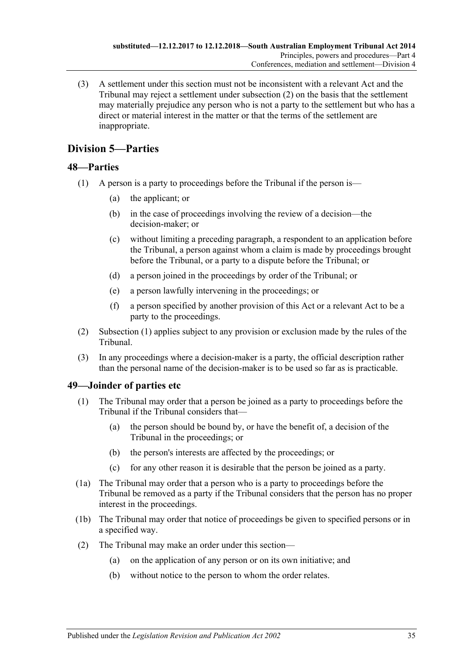(3) A settlement under this section must not be inconsistent with a relevant Act and the Tribunal may reject a settlement under [subsection](#page-33-2) (2) on the basis that the settlement may materially prejudice any person who is not a party to the settlement but who has a direct or material interest in the matter or that the terms of the settlement are inappropriate.

# <span id="page-34-0"></span>**Division 5—Parties**

# <span id="page-34-3"></span><span id="page-34-1"></span>**48—Parties**

- (1) A person is a party to proceedings before the Tribunal if the person is—
	- (a) the applicant; or
	- (b) in the case of proceedings involving the review of a decision—the decision-maker; or
	- (c) without limiting a preceding paragraph, a respondent to an application before the Tribunal, a person against whom a claim is made by proceedings brought before the Tribunal, or a party to a dispute before the Tribunal; or
	- (d) a person joined in the proceedings by order of the Tribunal; or
	- (e) a person lawfully intervening in the proceedings; or
	- (f) a person specified by another provision of this Act or a relevant Act to be a party to the proceedings.
- (2) [Subsection](#page-34-3) (1) applies subject to any provision or exclusion made by the rules of the Tribunal.
- (3) In any proceedings where a decision-maker is a party, the official description rather than the personal name of the decision-maker is to be used so far as is practicable.

## <span id="page-34-2"></span>**49—Joinder of parties etc**

- (1) The Tribunal may order that a person be joined as a party to proceedings before the Tribunal if the Tribunal considers that—
	- (a) the person should be bound by, or have the benefit of, a decision of the Tribunal in the proceedings; or
	- (b) the person's interests are affected by the proceedings; or
	- (c) for any other reason it is desirable that the person be joined as a party.
- (1a) The Tribunal may order that a person who is a party to proceedings before the Tribunal be removed as a party if the Tribunal considers that the person has no proper interest in the proceedings.
- (1b) The Tribunal may order that notice of proceedings be given to specified persons or in a specified way.
- (2) The Tribunal may make an order under this section—
	- (a) on the application of any person or on its own initiative; and
	- (b) without notice to the person to whom the order relates.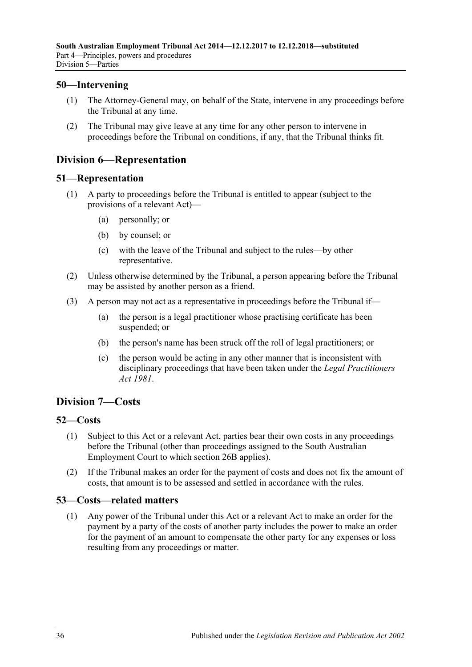## <span id="page-35-0"></span>**50—Intervening**

- (1) The Attorney-General may, on behalf of the State, intervene in any proceedings before the Tribunal at any time.
- (2) The Tribunal may give leave at any time for any other person to intervene in proceedings before the Tribunal on conditions, if any, that the Tribunal thinks fit.

# <span id="page-35-1"></span>**Division 6—Representation**

### <span id="page-35-2"></span>**51—Representation**

- (1) A party to proceedings before the Tribunal is entitled to appear (subject to the provisions of a relevant Act)—
	- (a) personally; or
	- (b) by counsel; or
	- (c) with the leave of the Tribunal and subject to the rules—by other representative.
- (2) Unless otherwise determined by the Tribunal, a person appearing before the Tribunal may be assisted by another person as a friend.
- (3) A person may not act as a representative in proceedings before the Tribunal if—
	- (a) the person is a legal practitioner whose practising certificate has been suspended; or
	- (b) the person's name has been struck off the roll of legal practitioners; or
	- (c) the person would be acting in any other manner that is inconsistent with disciplinary proceedings that have been taken under the *[Legal Practitioners](http://www.legislation.sa.gov.au/index.aspx?action=legref&type=act&legtitle=Legal%20Practitioners%20Act%201981)  Act [1981](http://www.legislation.sa.gov.au/index.aspx?action=legref&type=act&legtitle=Legal%20Practitioners%20Act%201981)*.

# <span id="page-35-3"></span>**Division 7—Costs**

## <span id="page-35-4"></span>**52—Costs**

- (1) Subject to this Act or a relevant Act, parties bear their own costs in any proceedings before the Tribunal (other than proceedings assigned to the South Australian Employment Court to which [section](#page-19-3) 26B applies).
- (2) If the Tribunal makes an order for the payment of costs and does not fix the amount of costs, that amount is to be assessed and settled in accordance with the rules.

## <span id="page-35-5"></span>**53—Costs—related matters**

(1) Any power of the Tribunal under this Act or a relevant Act to make an order for the payment by a party of the costs of another party includes the power to make an order for the payment of an amount to compensate the other party for any expenses or loss resulting from any proceedings or matter.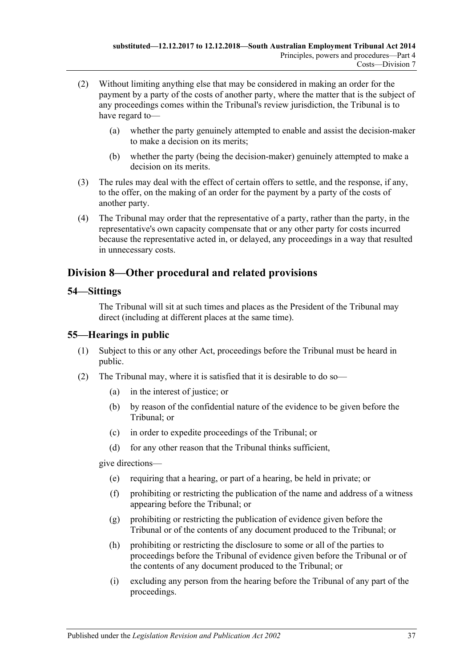- (2) Without limiting anything else that may be considered in making an order for the payment by a party of the costs of another party, where the matter that is the subject of any proceedings comes within the Tribunal's review jurisdiction, the Tribunal is to have regard to—
	- (a) whether the party genuinely attempted to enable and assist the decision-maker to make a decision on its merits;
	- (b) whether the party (being the decision-maker) genuinely attempted to make a decision on its merits.
- (3) The rules may deal with the effect of certain offers to settle, and the response, if any, to the offer, on the making of an order for the payment by a party of the costs of another party.
- (4) The Tribunal may order that the representative of a party, rather than the party, in the representative's own capacity compensate that or any other party for costs incurred because the representative acted in, or delayed, any proceedings in a way that resulted in unnecessary costs.

# <span id="page-36-0"></span>**Division 8—Other procedural and related provisions**

### <span id="page-36-1"></span>**54—Sittings**

The Tribunal will sit at such times and places as the President of the Tribunal may direct (including at different places at the same time).

## <span id="page-36-2"></span>**55—Hearings in public**

- (1) Subject to this or any other Act, proceedings before the Tribunal must be heard in public.
- <span id="page-36-3"></span>(2) The Tribunal may, where it is satisfied that it is desirable to do so—
	- (a) in the interest of justice; or
	- (b) by reason of the confidential nature of the evidence to be given before the Tribunal; or
	- (c) in order to expedite proceedings of the Tribunal; or
	- (d) for any other reason that the Tribunal thinks sufficient,

give directions—

- (e) requiring that a hearing, or part of a hearing, be held in private; or
- (f) prohibiting or restricting the publication of the name and address of a witness appearing before the Tribunal; or
- (g) prohibiting or restricting the publication of evidence given before the Tribunal or of the contents of any document produced to the Tribunal; or
- (h) prohibiting or restricting the disclosure to some or all of the parties to proceedings before the Tribunal of evidence given before the Tribunal or of the contents of any document produced to the Tribunal; or
- (i) excluding any person from the hearing before the Tribunal of any part of the proceedings.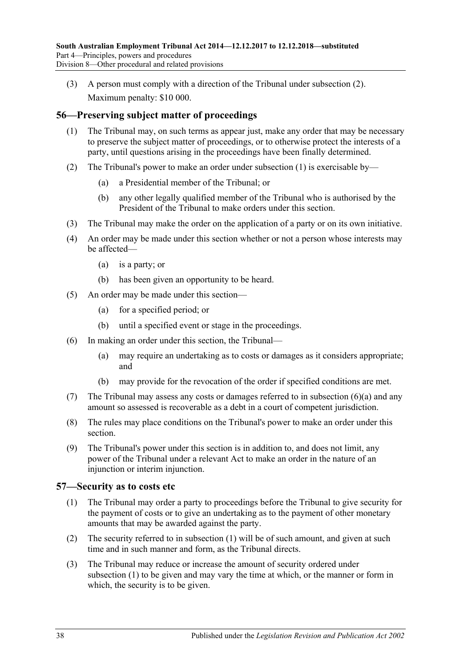(3) A person must comply with a direction of the Tribunal under [subsection](#page-36-3) (2). Maximum penalty: \$10 000.

# <span id="page-37-2"></span><span id="page-37-0"></span>**56—Preserving subject matter of proceedings**

- (1) The Tribunal may, on such terms as appear just, make any order that may be necessary to preserve the subject matter of proceedings, or to otherwise protect the interests of a party, until questions arising in the proceedings have been finally determined.
- (2) The Tribunal's power to make an order under [subsection](#page-37-2) (1) is exercisable by—
	- (a) a Presidential member of the Tribunal; or
	- (b) any other legally qualified member of the Tribunal who is authorised by the President of the Tribunal to make orders under this section.
- (3) The Tribunal may make the order on the application of a party or on its own initiative.
- (4) An order may be made under this section whether or not a person whose interests may be affected—
	- (a) is a party; or
	- (b) has been given an opportunity to be heard.
- (5) An order may be made under this section—
	- (a) for a specified period; or
	- (b) until a specified event or stage in the proceedings.
- <span id="page-37-3"></span>(6) In making an order under this section, the Tribunal—
	- (a) may require an undertaking as to costs or damages as it considers appropriate; and
	- (b) may provide for the revocation of the order if specified conditions are met.
- (7) The Tribunal may assess any costs or damages referred to in [subsection](#page-37-3) (6)(a) and any amount so assessed is recoverable as a debt in a court of competent jurisdiction.
- (8) The rules may place conditions on the Tribunal's power to make an order under this section.
- (9) The Tribunal's power under this section is in addition to, and does not limit, any power of the Tribunal under a relevant Act to make an order in the nature of an injunction or interim injunction.

## <span id="page-37-4"></span><span id="page-37-1"></span>**57—Security as to costs etc**

- (1) The Tribunal may order a party to proceedings before the Tribunal to give security for the payment of costs or to give an undertaking as to the payment of other monetary amounts that may be awarded against the party.
- (2) The security referred to in [subsection](#page-37-4) (1) will be of such amount, and given at such time and in such manner and form, as the Tribunal directs.
- (3) The Tribunal may reduce or increase the amount of security ordered under [subsection](#page-37-4) (1) to be given and may vary the time at which, or the manner or form in which, the security is to be given.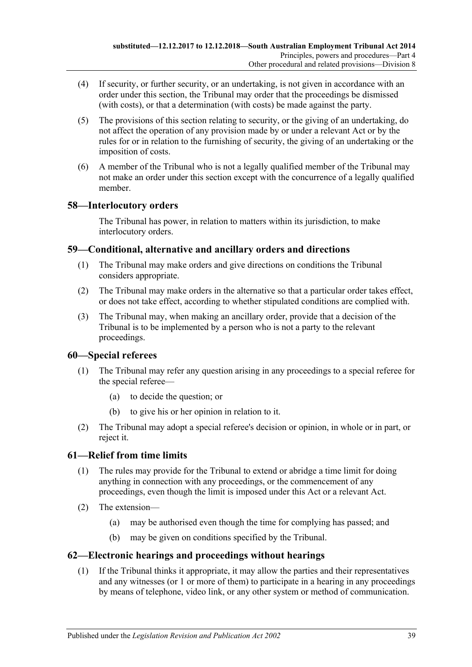- (4) If security, or further security, or an undertaking, is not given in accordance with an order under this section, the Tribunal may order that the proceedings be dismissed (with costs), or that a determination (with costs) be made against the party.
- (5) The provisions of this section relating to security, or the giving of an undertaking, do not affect the operation of any provision made by or under a relevant Act or by the rules for or in relation to the furnishing of security, the giving of an undertaking or the imposition of costs.
- (6) A member of the Tribunal who is not a legally qualified member of the Tribunal may not make an order under this section except with the concurrence of a legally qualified member.

# <span id="page-38-0"></span>**58—Interlocutory orders**

The Tribunal has power, in relation to matters within its jurisdiction, to make interlocutory orders.

# <span id="page-38-1"></span>**59—Conditional, alternative and ancillary orders and directions**

- (1) The Tribunal may make orders and give directions on conditions the Tribunal considers appropriate.
- (2) The Tribunal may make orders in the alternative so that a particular order takes effect, or does not take effect, according to whether stipulated conditions are complied with.
- (3) The Tribunal may, when making an ancillary order, provide that a decision of the Tribunal is to be implemented by a person who is not a party to the relevant proceedings.

## <span id="page-38-2"></span>**60—Special referees**

- (1) The Tribunal may refer any question arising in any proceedings to a special referee for the special referee—
	- (a) to decide the question; or
	- (b) to give his or her opinion in relation to it.
- (2) The Tribunal may adopt a special referee's decision or opinion, in whole or in part, or reject it.

# <span id="page-38-3"></span>**61—Relief from time limits**

- (1) The rules may provide for the Tribunal to extend or abridge a time limit for doing anything in connection with any proceedings, or the commencement of any proceedings, even though the limit is imposed under this Act or a relevant Act.
- (2) The extension—
	- (a) may be authorised even though the time for complying has passed; and
	- (b) may be given on conditions specified by the Tribunal.

## <span id="page-38-4"></span>**62—Electronic hearings and proceedings without hearings**

(1) If the Tribunal thinks it appropriate, it may allow the parties and their representatives and any witnesses (or 1 or more of them) to participate in a hearing in any proceedings by means of telephone, video link, or any other system or method of communication.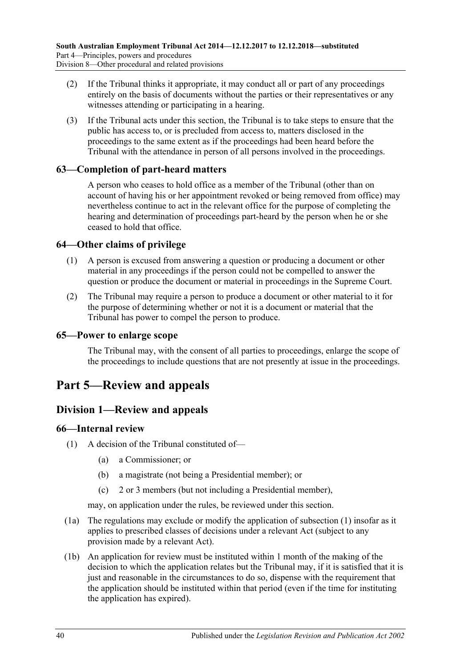- (2) If the Tribunal thinks it appropriate, it may conduct all or part of any proceedings entirely on the basis of documents without the parties or their representatives or any witnesses attending or participating in a hearing.
- (3) If the Tribunal acts under this section, the Tribunal is to take steps to ensure that the public has access to, or is precluded from access to, matters disclosed in the proceedings to the same extent as if the proceedings had been heard before the Tribunal with the attendance in person of all persons involved in the proceedings.

## <span id="page-39-0"></span>**63—Completion of part-heard matters**

A person who ceases to hold office as a member of the Tribunal (other than on account of having his or her appointment revoked or being removed from office) may nevertheless continue to act in the relevant office for the purpose of completing the hearing and determination of proceedings part-heard by the person when he or she ceased to hold that office.

### <span id="page-39-1"></span>**64—Other claims of privilege**

- (1) A person is excused from answering a question or producing a document or other material in any proceedings if the person could not be compelled to answer the question or produce the document or material in proceedings in the Supreme Court.
- (2) The Tribunal may require a person to produce a document or other material to it for the purpose of determining whether or not it is a document or material that the Tribunal has power to compel the person to produce.

### <span id="page-39-2"></span>**65—Power to enlarge scope**

The Tribunal may, with the consent of all parties to proceedings, enlarge the scope of the proceedings to include questions that are not presently at issue in the proceedings.

# <span id="page-39-3"></span>**Part 5—Review and appeals**

# <span id="page-39-4"></span>**Division 1—Review and appeals**

#### <span id="page-39-6"></span><span id="page-39-5"></span>**66—Internal review**

- (1) A decision of the Tribunal constituted of—
	- (a) a Commissioner; or
	- (b) a magistrate (not being a Presidential member); or
	- (c) 2 or 3 members (but not including a Presidential member),

may, on application under the rules, be reviewed under this section.

- (1a) The regulations may exclude or modify the application of [subsection](#page-39-6) (1) insofar as it applies to prescribed classes of decisions under a relevant Act (subject to any provision made by a relevant Act).
- (1b) An application for review must be instituted within 1 month of the making of the decision to which the application relates but the Tribunal may, if it is satisfied that it is just and reasonable in the circumstances to do so, dispense with the requirement that the application should be instituted within that period (even if the time for instituting the application has expired).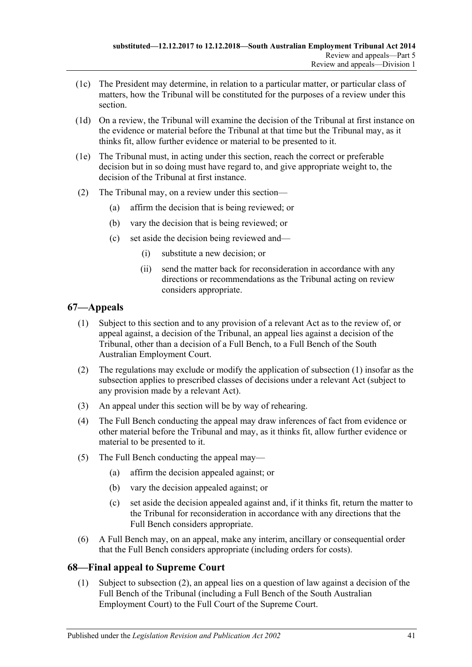- (1c) The President may determine, in relation to a particular matter, or particular class of matters, how the Tribunal will be constituted for the purposes of a review under this section.
- (1d) On a review, the Tribunal will examine the decision of the Tribunal at first instance on the evidence or material before the Tribunal at that time but the Tribunal may, as it thinks fit, allow further evidence or material to be presented to it.
- (1e) The Tribunal must, in acting under this section, reach the correct or preferable decision but in so doing must have regard to, and give appropriate weight to, the decision of the Tribunal at first instance.
- (2) The Tribunal may, on a review under this section—
	- (a) affirm the decision that is being reviewed; or
	- (b) vary the decision that is being reviewed; or
	- (c) set aside the decision being reviewed and—
		- (i) substitute a new decision; or
		- (ii) send the matter back for reconsideration in accordance with any directions or recommendations as the Tribunal acting on review considers appropriate.

# <span id="page-40-2"></span><span id="page-40-0"></span>**67—Appeals**

- (1) Subject to this section and to any provision of a relevant Act as to the review of, or appeal against, a decision of the Tribunal, an appeal lies against a decision of the Tribunal, other than a decision of a Full Bench, to a Full Bench of the South Australian Employment Court.
- (2) The regulations may exclude or modify the application of [subsection](#page-40-2) (1) insofar as the subsection applies to prescribed classes of decisions under a relevant Act (subject to any provision made by a relevant Act).
- (3) An appeal under this section will be by way of rehearing.
- (4) The Full Bench conducting the appeal may draw inferences of fact from evidence or other material before the Tribunal and may, as it thinks fit, allow further evidence or material to be presented to it.
- (5) The Full Bench conducting the appeal may—
	- (a) affirm the decision appealed against; or
	- (b) vary the decision appealed against; or
	- (c) set aside the decision appealed against and, if it thinks fit, return the matter to the Tribunal for reconsideration in accordance with any directions that the Full Bench considers appropriate.
- (6) A Full Bench may, on an appeal, make any interim, ancillary or consequential order that the Full Bench considers appropriate (including orders for costs).

# <span id="page-40-1"></span>**68—Final appeal to Supreme Court**

(1) Subject to [subsection](#page-41-6) (2), an appeal lies on a question of law against a decision of the Full Bench of the Tribunal (including a Full Bench of the South Australian Employment Court) to the Full Court of the Supreme Court.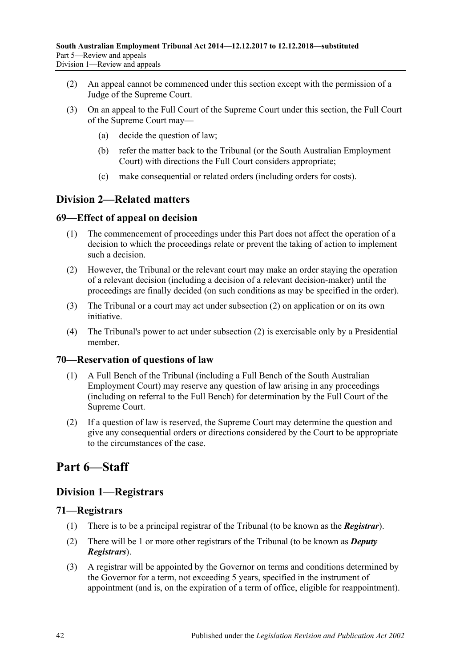- <span id="page-41-6"></span>(2) An appeal cannot be commenced under this section except with the permission of a Judge of the Supreme Court.
- (3) On an appeal to the Full Court of the Supreme Court under this section, the Full Court of the Supreme Court may—
	- (a) decide the question of law;
	- (b) refer the matter back to the Tribunal (or the South Australian Employment Court) with directions the Full Court considers appropriate;
	- (c) make consequential or related orders (including orders for costs).

# <span id="page-41-0"></span>**Division 2—Related matters**

# <span id="page-41-1"></span>**69—Effect of appeal on decision**

- (1) The commencement of proceedings under this Part does not affect the operation of a decision to which the proceedings relate or prevent the taking of action to implement such a decision.
- <span id="page-41-7"></span>(2) However, the Tribunal or the relevant court may make an order staying the operation of a relevant decision (including a decision of a relevant decision-maker) until the proceedings are finally decided (on such conditions as may be specified in the order).
- (3) The Tribunal or a court may act under [subsection](#page-41-7) (2) on application or on its own initiative.
- (4) The Tribunal's power to act under [subsection](#page-41-7) (2) is exercisable only by a Presidential member.

# <span id="page-41-2"></span>**70—Reservation of questions of law**

- (1) A Full Bench of the Tribunal (including a Full Bench of the South Australian Employment Court) may reserve any question of law arising in any proceedings (including on referral to the Full Bench) for determination by the Full Court of the Supreme Court.
- (2) If a question of law is reserved, the Supreme Court may determine the question and give any consequential orders or directions considered by the Court to be appropriate to the circumstances of the case.

# <span id="page-41-3"></span>**Part 6—Staff**

# <span id="page-41-4"></span>**Division 1—Registrars**

# <span id="page-41-5"></span>**71—Registrars**

- (1) There is to be a principal registrar of the Tribunal (to be known as the *Registrar*).
- (2) There will be 1 or more other registrars of the Tribunal (to be known as *Deputy Registrars*).
- (3) A registrar will be appointed by the Governor on terms and conditions determined by the Governor for a term, not exceeding 5 years, specified in the instrument of appointment (and is, on the expiration of a term of office, eligible for reappointment).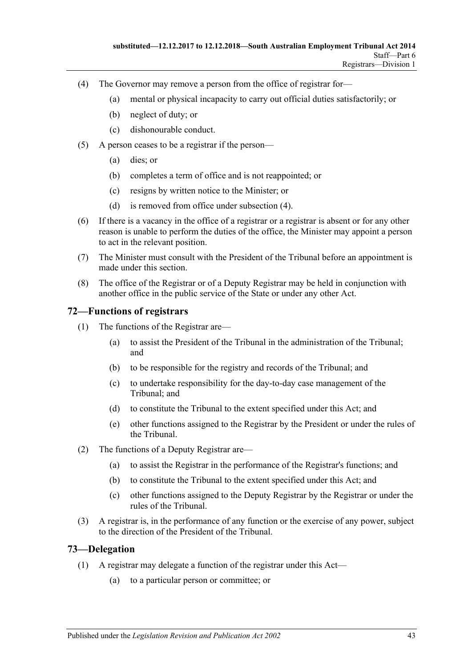- <span id="page-42-2"></span>(4) The Governor may remove a person from the office of registrar for—
	- (a) mental or physical incapacity to carry out official duties satisfactorily; or
	- (b) neglect of duty; or
	- (c) dishonourable conduct.
- (5) A person ceases to be a registrar if the person—
	- (a) dies; or
	- (b) completes a term of office and is not reappointed; or
	- (c) resigns by written notice to the Minister; or
	- (d) is removed from office under [subsection](#page-42-2) (4).
- (6) If there is a vacancy in the office of a registrar or a registrar is absent or for any other reason is unable to perform the duties of the office, the Minister may appoint a person to act in the relevant position.
- (7) The Minister must consult with the President of the Tribunal before an appointment is made under this section.
- (8) The office of the Registrar or of a Deputy Registrar may be held in conjunction with another office in the public service of the State or under any other Act.

# <span id="page-42-0"></span>**72—Functions of registrars**

- (1) The functions of the Registrar are—
	- (a) to assist the President of the Tribunal in the administration of the Tribunal; and
	- (b) to be responsible for the registry and records of the Tribunal; and
	- (c) to undertake responsibility for the day-to-day case management of the Tribunal; and
	- (d) to constitute the Tribunal to the extent specified under this Act; and
	- (e) other functions assigned to the Registrar by the President or under the rules of the Tribunal.
- (2) The functions of a Deputy Registrar are—
	- (a) to assist the Registrar in the performance of the Registrar's functions; and
	- (b) to constitute the Tribunal to the extent specified under this Act; and
	- (c) other functions assigned to the Deputy Registrar by the Registrar or under the rules of the Tribunal.
- (3) A registrar is, in the performance of any function or the exercise of any power, subject to the direction of the President of the Tribunal.

## <span id="page-42-3"></span><span id="page-42-1"></span>**73—Delegation**

- (1) A registrar may delegate a function of the registrar under this Act—
	- (a) to a particular person or committee; or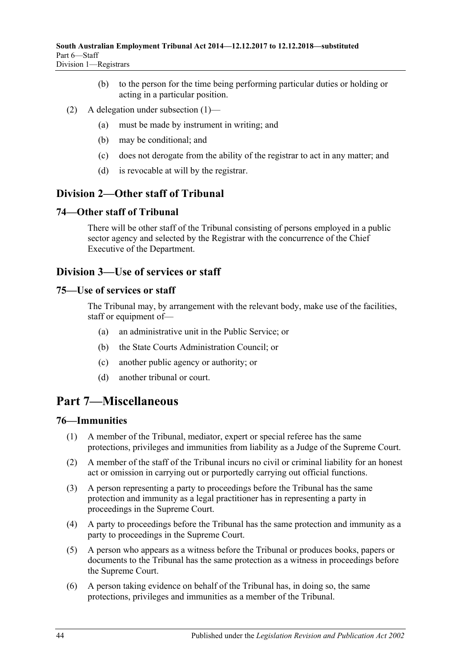- (b) to the person for the time being performing particular duties or holding or acting in a particular position.
- (2) A delegation under [subsection](#page-42-3) (1)—
	- (a) must be made by instrument in writing; and
	- (b) may be conditional; and
	- (c) does not derogate from the ability of the registrar to act in any matter; and
	- (d) is revocable at will by the registrar.

# <span id="page-43-0"></span>**Division 2—Other staff of Tribunal**

## <span id="page-43-1"></span>**74—Other staff of Tribunal**

There will be other staff of the Tribunal consisting of persons employed in a public sector agency and selected by the Registrar with the concurrence of the Chief Executive of the Department.

# <span id="page-43-2"></span>**Division 3—Use of services or staff**

### <span id="page-43-3"></span>**75—Use of services or staff**

The Tribunal may, by arrangement with the relevant body, make use of the facilities, staff or equipment of—

- (a) an administrative unit in the Public Service; or
- (b) the State Courts Administration Council; or
- (c) another public agency or authority; or
- (d) another tribunal or court.

# <span id="page-43-4"></span>**Part 7—Miscellaneous**

## <span id="page-43-5"></span>**76—Immunities**

- (1) A member of the Tribunal, mediator, expert or special referee has the same protections, privileges and immunities from liability as a Judge of the Supreme Court.
- (2) A member of the staff of the Tribunal incurs no civil or criminal liability for an honest act or omission in carrying out or purportedly carrying out official functions.
- (3) A person representing a party to proceedings before the Tribunal has the same protection and immunity as a legal practitioner has in representing a party in proceedings in the Supreme Court.
- (4) A party to proceedings before the Tribunal has the same protection and immunity as a party to proceedings in the Supreme Court.
- (5) A person who appears as a witness before the Tribunal or produces books, papers or documents to the Tribunal has the same protection as a witness in proceedings before the Supreme Court.
- (6) A person taking evidence on behalf of the Tribunal has, in doing so, the same protections, privileges and immunities as a member of the Tribunal.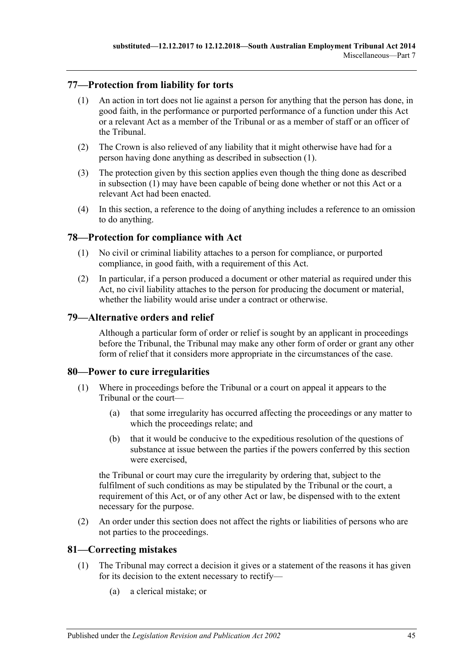# <span id="page-44-5"></span><span id="page-44-0"></span>**77—Protection from liability for torts**

- (1) An action in tort does not lie against a person for anything that the person has done, in good faith, in the performance or purported performance of a function under this Act or a relevant Act as a member of the Tribunal or as a member of staff or an officer of the Tribunal.
- (2) The Crown is also relieved of any liability that it might otherwise have had for a person having done anything as described in [subsection](#page-44-5) (1).
- (3) The protection given by this section applies even though the thing done as described in [subsection](#page-44-5) (1) may have been capable of being done whether or not this Act or a relevant Act had been enacted.
- (4) In this section, a reference to the doing of anything includes a reference to an omission to do anything.

## <span id="page-44-1"></span>**78—Protection for compliance with Act**

- (1) No civil or criminal liability attaches to a person for compliance, or purported compliance, in good faith, with a requirement of this Act.
- (2) In particular, if a person produced a document or other material as required under this Act, no civil liability attaches to the person for producing the document or material, whether the liability would arise under a contract or otherwise.

### <span id="page-44-2"></span>**79—Alternative orders and relief**

Although a particular form of order or relief is sought by an applicant in proceedings before the Tribunal, the Tribunal may make any other form of order or grant any other form of relief that it considers more appropriate in the circumstances of the case.

#### <span id="page-44-3"></span>**80—Power to cure irregularities**

- (1) Where in proceedings before the Tribunal or a court on appeal it appears to the Tribunal or the court—
	- (a) that some irregularity has occurred affecting the proceedings or any matter to which the proceedings relate; and
	- (b) that it would be conducive to the expeditious resolution of the questions of substance at issue between the parties if the powers conferred by this section were exercised,

the Tribunal or court may cure the irregularity by ordering that, subject to the fulfilment of such conditions as may be stipulated by the Tribunal or the court, a requirement of this Act, or of any other Act or law, be dispensed with to the extent necessary for the purpose.

(2) An order under this section does not affect the rights or liabilities of persons who are not parties to the proceedings.

## <span id="page-44-4"></span>**81—Correcting mistakes**

- (1) The Tribunal may correct a decision it gives or a statement of the reasons it has given for its decision to the extent necessary to rectify—
	- (a) a clerical mistake; or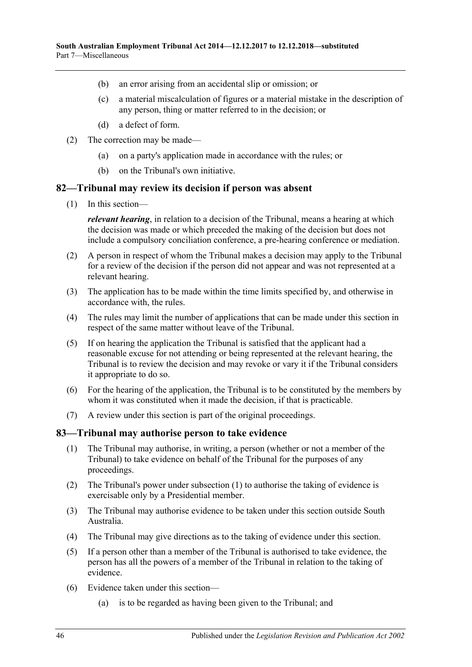- (b) an error arising from an accidental slip or omission; or
- (c) a material miscalculation of figures or a material mistake in the description of any person, thing or matter referred to in the decision; or
- (d) a defect of form.
- (2) The correction may be made—
	- (a) on a party's application made in accordance with the rules; or
	- (b) on the Tribunal's own initiative.

#### <span id="page-45-0"></span>**82—Tribunal may review its decision if person was absent**

(1) In this section—

*relevant hearing*, in relation to a decision of the Tribunal, means a hearing at which the decision was made or which preceded the making of the decision but does not include a compulsory conciliation conference, a pre-hearing conference or mediation.

- (2) A person in respect of whom the Tribunal makes a decision may apply to the Tribunal for a review of the decision if the person did not appear and was not represented at a relevant hearing.
- (3) The application has to be made within the time limits specified by, and otherwise in accordance with, the rules.
- (4) The rules may limit the number of applications that can be made under this section in respect of the same matter without leave of the Tribunal.
- (5) If on hearing the application the Tribunal is satisfied that the applicant had a reasonable excuse for not attending or being represented at the relevant hearing, the Tribunal is to review the decision and may revoke or vary it if the Tribunal considers it appropriate to do so.
- (6) For the hearing of the application, the Tribunal is to be constituted by the members by whom it was constituted when it made the decision, if that is practicable.
- (7) A review under this section is part of the original proceedings.

#### <span id="page-45-2"></span><span id="page-45-1"></span>**83—Tribunal may authorise person to take evidence**

- (1) The Tribunal may authorise, in writing, a person (whether or not a member of the Tribunal) to take evidence on behalf of the Tribunal for the purposes of any proceedings.
- (2) The Tribunal's power under [subsection](#page-45-2) (1) to authorise the taking of evidence is exercisable only by a Presidential member.
- (3) The Tribunal may authorise evidence to be taken under this section outside South Australia.
- (4) The Tribunal may give directions as to the taking of evidence under this section.
- (5) If a person other than a member of the Tribunal is authorised to take evidence, the person has all the powers of a member of the Tribunal in relation to the taking of evidence.
- (6) Evidence taken under this section—
	- (a) is to be regarded as having been given to the Tribunal; and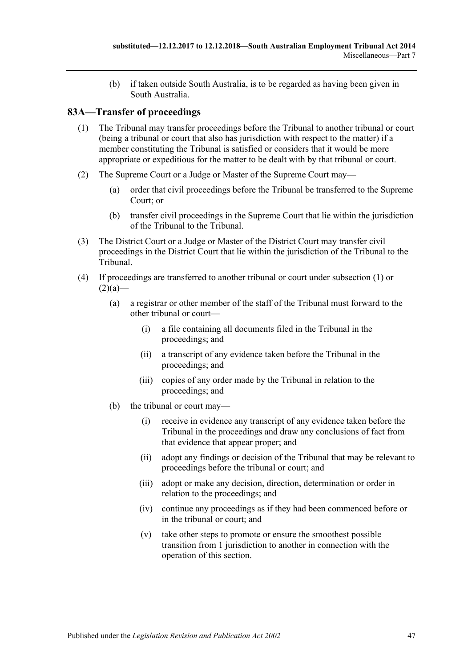(b) if taken outside South Australia, is to be regarded as having been given in South Australia.

# <span id="page-46-1"></span><span id="page-46-0"></span>**83A—Transfer of proceedings**

- (1) The Tribunal may transfer proceedings before the Tribunal to another tribunal or court (being a tribunal or court that also has jurisdiction with respect to the matter) if a member constituting the Tribunal is satisfied or considers that it would be more appropriate or expeditious for the matter to be dealt with by that tribunal or court.
- <span id="page-46-2"></span>(2) The Supreme Court or a Judge or Master of the Supreme Court may—
	- (a) order that civil proceedings before the Tribunal be transferred to the Supreme Court; or
	- (b) transfer civil proceedings in the Supreme Court that lie within the jurisdiction of the Tribunal to the Tribunal.
- <span id="page-46-4"></span><span id="page-46-3"></span>(3) The District Court or a Judge or Master of the District Court may transfer civil proceedings in the District Court that lie within the jurisdiction of the Tribunal to the Tribunal.
- (4) If proceedings are transferred to another tribunal or court under [subsection](#page-46-1) (1) or  $(2)(a)$ —
	- (a) a registrar or other member of the staff of the Tribunal must forward to the other tribunal or court—
		- (i) a file containing all documents filed in the Tribunal in the proceedings; and
		- (ii) a transcript of any evidence taken before the Tribunal in the proceedings; and
		- (iii) copies of any order made by the Tribunal in relation to the proceedings; and
	- (b) the tribunal or court may—
		- (i) receive in evidence any transcript of any evidence taken before the Tribunal in the proceedings and draw any conclusions of fact from that evidence that appear proper; and
		- (ii) adopt any findings or decision of the Tribunal that may be relevant to proceedings before the tribunal or court; and
		- (iii) adopt or make any decision, direction, determination or order in relation to the proceedings; and
		- (iv) continue any proceedings as if they had been commenced before or in the tribunal or court; and
		- (v) take other steps to promote or ensure the smoothest possible transition from 1 jurisdiction to another in connection with the operation of this section.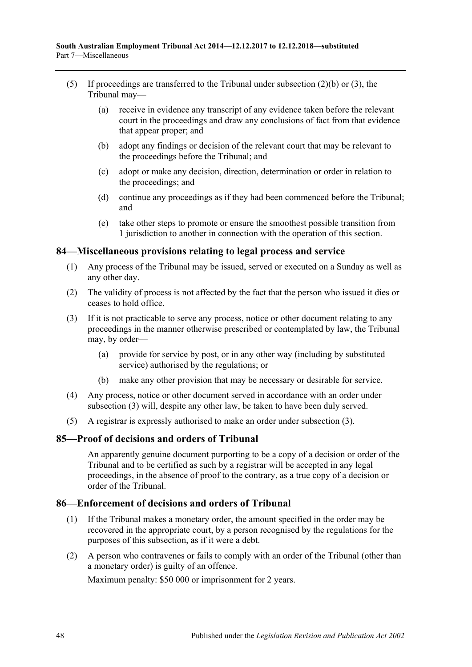- (5) If proceedings are transferred to the Tribunal under [subsection](#page-46-3) (2)(b) or [\(3\),](#page-46-4) the Tribunal may—
	- (a) receive in evidence any transcript of any evidence taken before the relevant court in the proceedings and draw any conclusions of fact from that evidence that appear proper; and
	- (b) adopt any findings or decision of the relevant court that may be relevant to the proceedings before the Tribunal; and
	- (c) adopt or make any decision, direction, determination or order in relation to the proceedings; and
	- (d) continue any proceedings as if they had been commenced before the Tribunal; and
	- (e) take other steps to promote or ensure the smoothest possible transition from 1 jurisdiction to another in connection with the operation of this section.

## <span id="page-47-0"></span>**84—Miscellaneous provisions relating to legal process and service**

- (1) Any process of the Tribunal may be issued, served or executed on a Sunday as well as any other day.
- (2) The validity of process is not affected by the fact that the person who issued it dies or ceases to hold office.
- <span id="page-47-3"></span>(3) If it is not practicable to serve any process, notice or other document relating to any proceedings in the manner otherwise prescribed or contemplated by law, the Tribunal may, by order—
	- (a) provide for service by post, or in any other way (including by substituted service) authorised by the regulations; or
	- (b) make any other provision that may be necessary or desirable for service.
- (4) Any process, notice or other document served in accordance with an order under [subsection](#page-47-3) (3) will, despite any other law, be taken to have been duly served.
- (5) A registrar is expressly authorised to make an order under [subsection](#page-47-3) (3).

## <span id="page-47-1"></span>**85—Proof of decisions and orders of Tribunal**

An apparently genuine document purporting to be a copy of a decision or order of the Tribunal and to be certified as such by a registrar will be accepted in any legal proceedings, in the absence of proof to the contrary, as a true copy of a decision or order of the Tribunal.

## <span id="page-47-2"></span>**86—Enforcement of decisions and orders of Tribunal**

- (1) If the Tribunal makes a monetary order, the amount specified in the order may be recovered in the appropriate court, by a person recognised by the regulations for the purposes of this subsection, as if it were a debt.
- (2) A person who contravenes or fails to comply with an order of the Tribunal (other than a monetary order) is guilty of an offence.

Maximum penalty: \$50 000 or imprisonment for 2 years.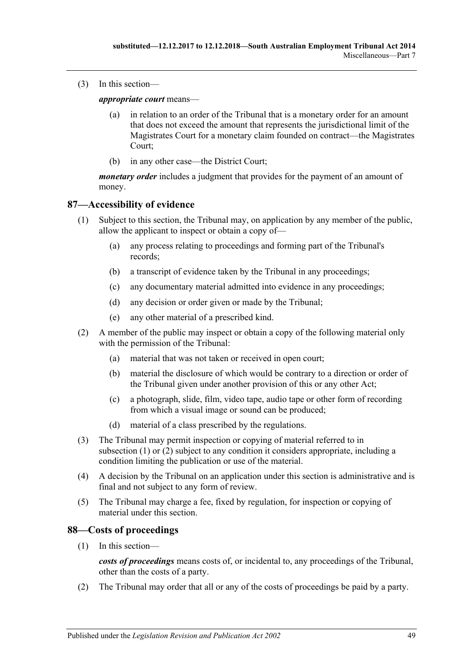(3) In this section—

*appropriate court* means—

- (a) in relation to an order of the Tribunal that is a monetary order for an amount that does not exceed the amount that represents the jurisdictional limit of the Magistrates Court for a monetary claim founded on contract—the Magistrates Court;
- (b) in any other case—the District Court;

*monetary order* includes a judgment that provides for the payment of an amount of money.

### <span id="page-48-2"></span><span id="page-48-0"></span>**87—Accessibility of evidence**

- (1) Subject to this section, the Tribunal may, on application by any member of the public, allow the applicant to inspect or obtain a copy of—
	- (a) any process relating to proceedings and forming part of the Tribunal's records;
	- (b) a transcript of evidence taken by the Tribunal in any proceedings;
	- (c) any documentary material admitted into evidence in any proceedings;
	- (d) any decision or order given or made by the Tribunal;
	- (e) any other material of a prescribed kind.
- <span id="page-48-3"></span>(2) A member of the public may inspect or obtain a copy of the following material only with the permission of the Tribunal:
	- (a) material that was not taken or received in open court;
	- (b) material the disclosure of which would be contrary to a direction or order of the Tribunal given under another provision of this or any other Act;
	- (c) a photograph, slide, film, video tape, audio tape or other form of recording from which a visual image or sound can be produced;
	- (d) material of a class prescribed by the regulations.
- (3) The Tribunal may permit inspection or copying of material referred to in [subsection](#page-48-2) (1) or [\(2\)](#page-48-3) subject to any condition it considers appropriate, including a condition limiting the publication or use of the material.
- (4) A decision by the Tribunal on an application under this section is administrative and is final and not subject to any form of review.
- (5) The Tribunal may charge a fee, fixed by regulation, for inspection or copying of material under this section.

#### <span id="page-48-1"></span>**88—Costs of proceedings**

(1) In this section—

*costs of proceedings* means costs of, or incidental to, any proceedings of the Tribunal, other than the costs of a party.

(2) The Tribunal may order that all or any of the costs of proceedings be paid by a party.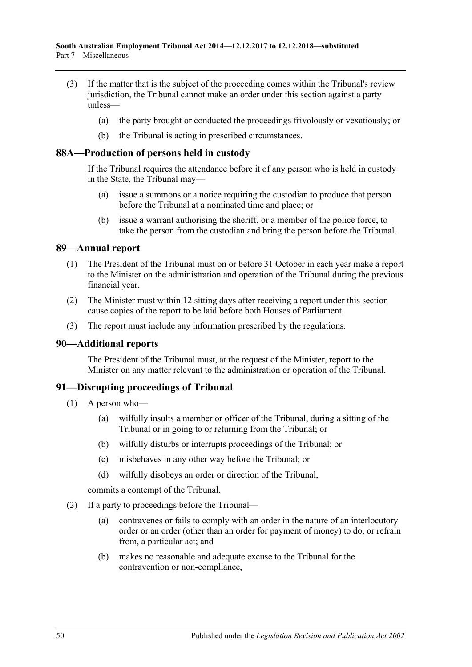- (3) If the matter that is the subject of the proceeding comes within the Tribunal's review jurisdiction, the Tribunal cannot make an order under this section against a party unless—
	- (a) the party brought or conducted the proceedings frivolously or vexatiously; or
	- (b) the Tribunal is acting in prescribed circumstances.

### <span id="page-49-0"></span>**88A—Production of persons held in custody**

If the Tribunal requires the attendance before it of any person who is held in custody in the State, the Tribunal may—

- (a) issue a summons or a notice requiring the custodian to produce that person before the Tribunal at a nominated time and place; or
- (b) issue a warrant authorising the sheriff, or a member of the police force, to take the person from the custodian and bring the person before the Tribunal.

### <span id="page-49-1"></span>**89—Annual report**

- (1) The President of the Tribunal must on or before 31 October in each year make a report to the Minister on the administration and operation of the Tribunal during the previous financial year.
- (2) The Minister must within 12 sitting days after receiving a report under this section cause copies of the report to be laid before both Houses of Parliament.
- (3) The report must include any information prescribed by the regulations.

## <span id="page-49-2"></span>**90—Additional reports**

The President of the Tribunal must, at the request of the Minister, report to the Minister on any matter relevant to the administration or operation of the Tribunal.

## <span id="page-49-3"></span>**91—Disrupting proceedings of Tribunal**

- (1) A person who—
	- (a) wilfully insults a member or officer of the Tribunal, during a sitting of the Tribunal or in going to or returning from the Tribunal; or
	- (b) wilfully disturbs or interrupts proceedings of the Tribunal; or
	- (c) misbehaves in any other way before the Tribunal; or
	- (d) wilfully disobeys an order or direction of the Tribunal,

commits a contempt of the Tribunal.

- <span id="page-49-4"></span>(2) If a party to proceedings before the Tribunal—
	- (a) contravenes or fails to comply with an order in the nature of an interlocutory order or an order (other than an order for payment of money) to do, or refrain from, a particular act; and
	- (b) makes no reasonable and adequate excuse to the Tribunal for the contravention or non-compliance,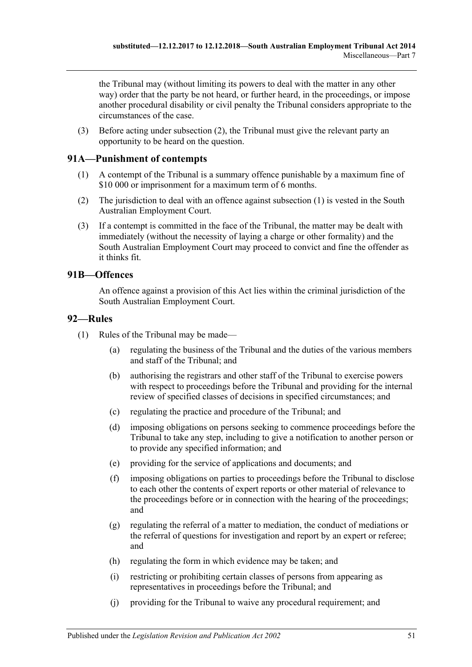the Tribunal may (without limiting its powers to deal with the matter in any other way) order that the party be not heard, or further heard, in the proceedings, or impose another procedural disability or civil penalty the Tribunal considers appropriate to the circumstances of the case.

(3) Before acting under [subsection](#page-49-4) (2), the Tribunal must give the relevant party an opportunity to be heard on the question.

# <span id="page-50-3"></span><span id="page-50-0"></span>**91A—Punishment of contempts**

- (1) A contempt of the Tribunal is a summary offence punishable by a maximum fine of \$10 000 or imprisonment for a maximum term of 6 months.
- (2) The jurisdiction to deal with an offence against [subsection](#page-50-3) (1) is vested in the South Australian Employment Court.
- (3) If a contempt is committed in the face of the Tribunal, the matter may be dealt with immediately (without the necessity of laying a charge or other formality) and the South Australian Employment Court may proceed to convict and fine the offender as it thinks fit.

# <span id="page-50-1"></span>**91B—Offences**

An offence against a provision of this Act lies within the criminal jurisdiction of the South Australian Employment Court.

#### <span id="page-50-2"></span>**92—Rules**

- (1) Rules of the Tribunal may be made—
	- (a) regulating the business of the Tribunal and the duties of the various members and staff of the Tribunal; and
	- (b) authorising the registrars and other staff of the Tribunal to exercise powers with respect to proceedings before the Tribunal and providing for the internal review of specified classes of decisions in specified circumstances; and
	- (c) regulating the practice and procedure of the Tribunal; and
	- (d) imposing obligations on persons seeking to commence proceedings before the Tribunal to take any step, including to give a notification to another person or to provide any specified information; and
	- (e) providing for the service of applications and documents; and
	- (f) imposing obligations on parties to proceedings before the Tribunal to disclose to each other the contents of expert reports or other material of relevance to the proceedings before or in connection with the hearing of the proceedings; and
	- (g) regulating the referral of a matter to mediation, the conduct of mediations or the referral of questions for investigation and report by an expert or referee; and
	- (h) regulating the form in which evidence may be taken; and
	- (i) restricting or prohibiting certain classes of persons from appearing as representatives in proceedings before the Tribunal; and
	- (j) providing for the Tribunal to waive any procedural requirement; and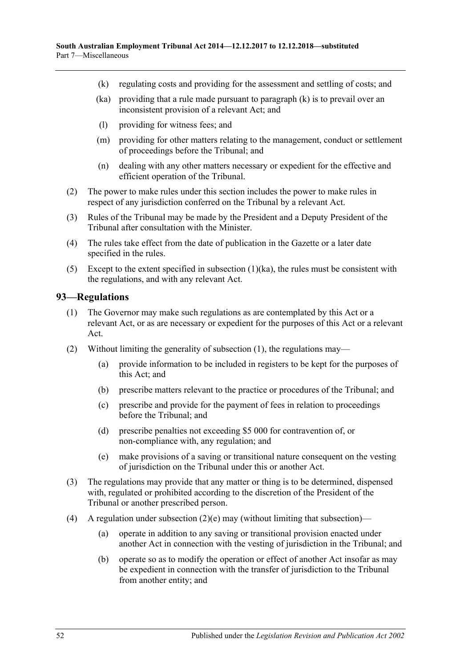- <span id="page-51-2"></span>(k) regulating costs and providing for the assessment and settling of costs; and
- <span id="page-51-1"></span>(ka) providing that a rule made pursuant to [paragraph](#page-51-2) (k) is to prevail over an inconsistent provision of a relevant Act; and
- (l) providing for witness fees; and
- (m) providing for other matters relating to the management, conduct or settlement of proceedings before the Tribunal; and
- (n) dealing with any other matters necessary or expedient for the effective and efficient operation of the Tribunal.
- (2) The power to make rules under this section includes the power to make rules in respect of any jurisdiction conferred on the Tribunal by a relevant Act.
- (3) Rules of the Tribunal may be made by the President and a Deputy President of the Tribunal after consultation with the Minister.
- (4) The rules take effect from the date of publication in the Gazette or a later date specified in the rules.
- (5) Except to the extent specified in [subsection](#page-51-1)  $(1)(ka)$ , the rules must be consistent with the regulations, and with any relevant Act.

#### <span id="page-51-3"></span><span id="page-51-0"></span>**93—Regulations**

- (1) The Governor may make such regulations as are contemplated by this Act or a relevant Act, or as are necessary or expedient for the purposes of this Act or a relevant Act.
- (2) Without limiting the generality of [subsection](#page-51-3) (1), the regulations may—
	- (a) provide information to be included in registers to be kept for the purposes of this Act; and
	- (b) prescribe matters relevant to the practice or procedures of the Tribunal; and
	- (c) prescribe and provide for the payment of fees in relation to proceedings before the Tribunal; and
	- (d) prescribe penalties not exceeding \$5 000 for contravention of, or non-compliance with, any regulation; and
	- (e) make provisions of a saving or transitional nature consequent on the vesting of jurisdiction on the Tribunal under this or another Act.
- <span id="page-51-4"></span>(3) The regulations may provide that any matter or thing is to be determined, dispensed with, regulated or prohibited according to the discretion of the President of the Tribunal or another prescribed person.
- (4) A regulation under [subsection](#page-51-4)  $(2)(e)$  may (without limiting that subsection)—
	- (a) operate in addition to any saving or transitional provision enacted under another Act in connection with the vesting of jurisdiction in the Tribunal; and
	- (b) operate so as to modify the operation or effect of another Act insofar as may be expedient in connection with the transfer of jurisdiction to the Tribunal from another entity; and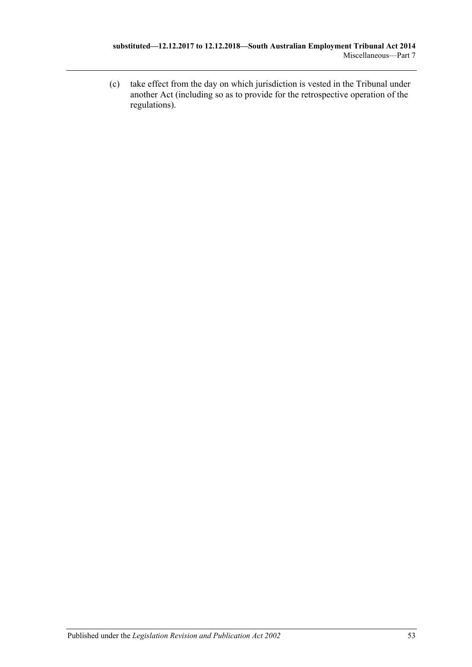(c) take effect from the day on which jurisdiction is vested in the Tribunal under another Act (including so as to provide for the retrospective operation of the regulations).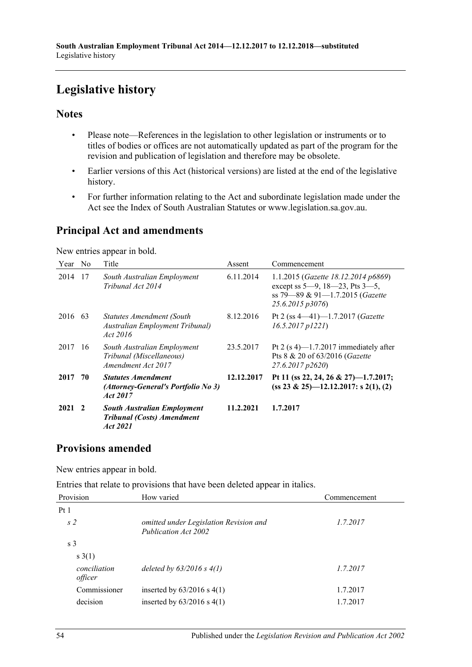# <span id="page-53-0"></span>**Legislative history**

# **Notes**

- Please note—References in the legislation to other legislation or instruments or to titles of bodies or offices are not automatically updated as part of the program for the revision and publication of legislation and therefore may be obsolete.
- Earlier versions of this Act (historical versions) are listed at the end of the legislative history.
- For further information relating to the Act and subordinate legislation made under the Act see the Index of South Australian Statutes or www.legislation.sa.gov.au.

# **Principal Act and amendments**

New entries appear in bold.

| Year No        |    | Title                                                                               | Assent     | Commencement                                                                                                                          |
|----------------|----|-------------------------------------------------------------------------------------|------------|---------------------------------------------------------------------------------------------------------------------------------------|
| 2014           | 17 | South Australian Employment<br>Tribunal Act 2014                                    | 6.11.2014  | 1.1.2015 (Gazette 18.12.2014 p6869)<br>except ss $5-9$ , $18-23$ , Pts $3-5$ ,<br>ss 79-89 & 91-1.7.2015 (Gazette<br>25.6.2015 p3076) |
| 2016 63        |    | Statutes Amendment (South<br>Australian Employment Tribunal)<br>Act 2016            | 8.12.2016  | Pt 2 (ss $4-41$ )-1.7.2017 (Gazette<br>$16.5.2017$ $p1221$                                                                            |
| 2017           | 16 | South Australian Employment<br>Tribunal (Miscellaneous)<br>Amendment Act 2017       | 23.5.2017  | Pt 2 $(s 4)$ —1.7.2017 immediately after<br>Pts 8 & 20 of 63/2016 (Gazette<br>27.6.2017 p2620)                                        |
| 2017           | 70 | <b>Statutes Amendment</b><br>(Attorney-General's Portfolio No 3)<br>Act 2017        | 12.12.2017 | Pt 11 (ss 22, 24, 26 & 27)-1.7.2017;<br>$(ss 23 \& 25)$ - 12.12.2017: s 2(1), (2)                                                     |
| $2021 \quad 2$ |    | <b>South Australian Employment</b><br><b>Tribunal (Costs) Amendment</b><br>Act 2021 | 11.2.2021  | 1.7.2017                                                                                                                              |

# **Provisions amended**

New entries appear in bold.

Entries that relate to provisions that have been deleted appear in italics.

| Provision               | How varied                                                     | Commencement |  |
|-------------------------|----------------------------------------------------------------|--------------|--|
| Pt1                     |                                                                |              |  |
| s <sub>2</sub>          | omitted under Legislation Revision and<br>Publication Act 2002 | 1.7.2017     |  |
| s <sub>3</sub>          |                                                                |              |  |
| s(1)                    |                                                                |              |  |
| conciliation<br>officer | deleted by $63/2016$ s $4(1)$                                  | 1.7.2017     |  |
| Commissioner            | inserted by $63/2016$ s $4(1)$                                 | 1.7.2017     |  |
| decision                | inserted by $63/2016$ s $4(1)$                                 | 1.7.2017     |  |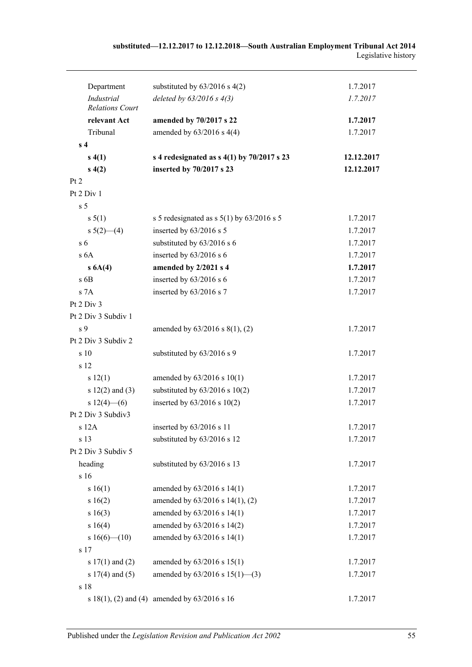| Department                           | substituted by $63/2016$ s $4(2)$                 | 1.7.2017   |
|--------------------------------------|---------------------------------------------------|------------|
| Industrial<br><b>Relations Court</b> | deleted by $63/2016$ s $4(3)$                     | 1.7.2017   |
| relevant Act                         | amended by 70/2017 s 22                           | 1.7.2017   |
| Tribunal                             | amended by $63/2016$ s 4(4)                       | 1.7.2017   |
| s <sub>4</sub>                       |                                                   |            |
| s(4(1))                              | s 4 redesignated as $s$ 4(1) by 70/2017 s 23      | 12.12.2017 |
| s(4(2))                              | inserted by 70/2017 s 23                          | 12.12.2017 |
| Pt 2                                 |                                                   |            |
| Pt $2$ Div $1$                       |                                                   |            |
| s <sub>5</sub>                       |                                                   |            |
| s 5(1)                               | s 5 redesignated as s $5(1)$ by $63/2016$ s 5     | 1.7.2017   |
| s $5(2)$ (4)                         | inserted by 63/2016 s 5                           | 1.7.2017   |
| s <sub>6</sub>                       | substituted by 63/2016 s 6                        | 1.7.2017   |
| s <sub>6A</sub>                      | inserted by 63/2016 s 6                           | 1.7.2017   |
| s 6A(4)                              | amended by 2/2021 s 4                             | 1.7.2017   |
| $s$ 6B                               | inserted by $63/2016$ s $6$                       | 1.7.2017   |
| s 7A                                 | inserted by 63/2016 s 7                           | 1.7.2017   |
| Pt 2 Div 3                           |                                                   |            |
| Pt 2 Div 3 Subdiv 1                  |                                                   |            |
| s <sub>9</sub>                       | amended by $63/2016$ s $8(1)$ , (2)               | 1.7.2017   |
| Pt 2 Div 3 Subdiv 2                  |                                                   |            |
| s 10                                 | substituted by 63/2016 s 9                        | 1.7.2017   |
| s 12                                 |                                                   |            |
| s 12(1)                              | amended by $63/2016$ s $10(1)$                    | 1.7.2017   |
| s $12(2)$ and $(3)$                  | substituted by $63/2016$ s $10(2)$                | 1.7.2017   |
| $s 12(4)$ (6)                        | inserted by $63/2016$ s $10(2)$                   | 1.7.2017   |
| Pt 2 Div 3 Subdiv3                   |                                                   |            |
| $s$ 12 $A$                           | inserted by 63/2016 s 11                          | 1.7.2017   |
| s 13                                 | substituted by 63/2016 s 12                       | 1.7.2017   |
| Pt 2 Div 3 Subdiv 5                  |                                                   |            |
| heading                              | substituted by 63/2016 s 13                       | 1.7.2017   |
| s 16                                 |                                                   |            |
| s 16(1)                              | amended by 63/2016 s 14(1)                        | 1.7.2017   |
| s 16(2)                              | amended by 63/2016 s 14(1), (2)                   | 1.7.2017   |
| s 16(3)                              | amended by 63/2016 s 14(1)                        | 1.7.2017   |
| s 16(4)                              | amended by 63/2016 s 14(2)                        | 1.7.2017   |
| s $16(6)$ (10)                       | amended by 63/2016 s 14(1)                        | 1.7.2017   |
| s 17                                 |                                                   |            |
| s $17(1)$ and $(2)$                  | amended by 63/2016 s 15(1)                        | 1.7.2017   |
| s $17(4)$ and $(5)$                  | amended by $63/2016$ s $15(1)$ —(3)               | 1.7.2017   |
| s 18                                 |                                                   |            |
|                                      | s $18(1)$ , (2) and (4) amended by $63/2016$ s 16 | 1.7.2017   |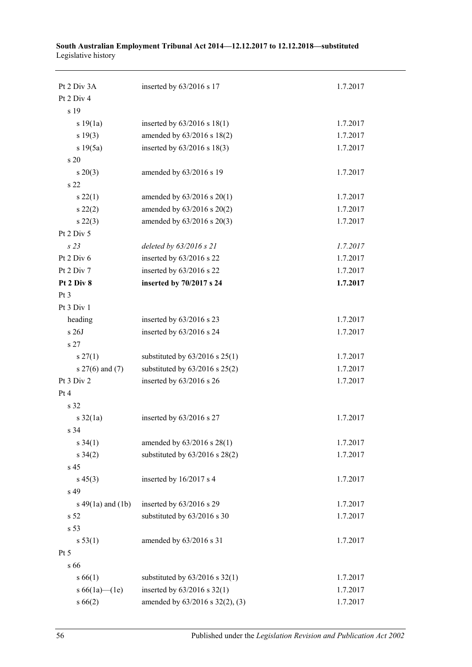| Pt 2 Div 3A           | inserted by 63/2016 s 17           | 1.7.2017 |
|-----------------------|------------------------------------|----------|
| Pt 2 Div 4            |                                    |          |
| s 19                  |                                    |          |
| s 19(1a)              | inserted by $63/2016$ s $18(1)$    | 1.7.2017 |
| s 19(3)               | amended by 63/2016 s 18(2)         | 1.7.2017 |
| s 19(5a)              | inserted by 63/2016 s 18(3)        | 1.7.2017 |
| s 20                  |                                    |          |
| $s\,20(3)$            | amended by 63/2016 s 19            | 1.7.2017 |
| s 22                  |                                    |          |
| $s\,22(1)$            | amended by $63/2016$ s $20(1)$     | 1.7.2017 |
| $s\,22(2)$            | amended by 63/2016 s 20(2)         | 1.7.2017 |
| $s\,22(3)$            | amended by 63/2016 s 20(3)         | 1.7.2017 |
| Pt 2 Div 5            |                                    |          |
| s23                   | deleted by 63/2016 s 21            | 1.7.2017 |
| Pt 2 Div 6            | inserted by 63/2016 s 22           | 1.7.2017 |
| Pt 2 Div 7            | inserted by 63/2016 s 22           | 1.7.2017 |
| Pt 2 Div 8            | inserted by 70/2017 s 24           | 1.7.2017 |
| Pt 3                  |                                    |          |
| Pt 3 Div 1            |                                    |          |
| heading               | inserted by 63/2016 s 23           | 1.7.2017 |
| s 26J                 | inserted by 63/2016 s 24           | 1.7.2017 |
| s 27                  |                                    |          |
| $s \, 27(1)$          | substituted by $63/2016$ s $25(1)$ | 1.7.2017 |
| s 27(6) and (7)       | substituted by $63/2016$ s $25(2)$ | 1.7.2017 |
| Pt 3 Div 2            | inserted by 63/2016 s 26           | 1.7.2017 |
| Pt4                   |                                    |          |
| s 32                  |                                    |          |
| $s \frac{32}{1a}$     | inserted by 63/2016 s 27           | 1.7.2017 |
| s 34                  |                                    |          |
| $s \; 34(1)$          | amended by 63/2016 s 28(1)         | 1.7.2017 |
| $s \; 34(2)$          | substituted by $63/2016$ s $28(2)$ | 1.7.2017 |
| s 45                  |                                    |          |
| $s\,45(3)$            | inserted by 16/2017 s 4            | 1.7.2017 |
| s 49                  |                                    |          |
| s $49(1a)$ and $(1b)$ | inserted by 63/2016 s 29           | 1.7.2017 |
| s <sub>52</sub>       | substituted by 63/2016 s 30        | 1.7.2017 |
| s 53                  |                                    |          |
| s 53(1)               | amended by 63/2016 s 31            | 1.7.2017 |
| Pt 5                  |                                    |          |
| s 66                  |                                    |          |
| s 66(1)               | substituted by $63/2016$ s $32(1)$ | 1.7.2017 |
| s $66(1a)$ (1e)       | inserted by $63/2016$ s $32(1)$    | 1.7.2017 |
| s66(2)                | amended by 63/2016 s 32(2), (3)    | 1.7.2017 |

#### **South Australian Employment Tribunal Act 2014—12.12.2017 to 12.12.2018—substituted** Legislative history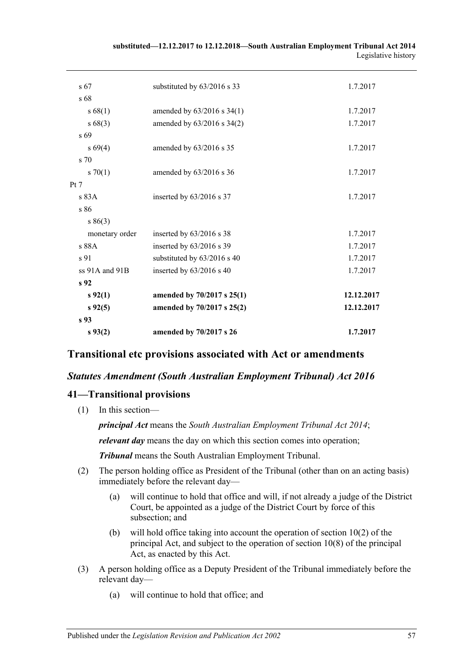| s 67            | substituted by 63/2016 s 33 | 1.7.2017   |
|-----------------|-----------------------------|------------|
| s 68            |                             |            |
| s 68(1)         | amended by 63/2016 s 34(1)  | 1.7.2017   |
| s68(3)          | amended by 63/2016 s 34(2)  | 1.7.2017   |
| s 69            |                             |            |
| $s\,69(4)$      | amended by 63/2016 s 35     | 1.7.2017   |
| s 70            |                             |            |
| $s \, 70(1)$    | amended by 63/2016 s 36     | 1.7.2017   |
| Pt 7            |                             |            |
| s83A            | inserted by 63/2016 s 37    | 1.7.2017   |
| s 86            |                             |            |
| s 86(3)         |                             |            |
| monetary order  | inserted by 63/2016 s 38    | 1.7.2017   |
| s 88A           | inserted by 63/2016 s 39    | 1.7.2017   |
| s 91            | substituted by 63/2016 s 40 | 1.7.2017   |
| ss 91A and 91B  | inserted by 63/2016 s 40    | 1.7.2017   |
| s <sub>92</sub> |                             |            |
| $s\,92(1)$      | amended by 70/2017 s 25(1)  | 12.12.2017 |
| $s\,92(5)$      | amended by 70/2017 s 25(2)  | 12.12.2017 |
| s 93            |                             |            |
| $s\,93(2)$      | amended by 70/2017 s 26     | 1.7.2017   |

#### **substituted—12.12.2017 to 12.12.2018—South Australian Employment Tribunal Act 2014** Legislative history

# **Transitional etc provisions associated with Act or amendments**

# *Statutes Amendment (South Australian Employment Tribunal) Act 2016*

# **41—Transitional provisions**

(1) In this section—

*principal Act* means the *[South Australian Employment Tribunal Act](http://www.legislation.sa.gov.au/index.aspx?action=legref&type=act&legtitle=South%20Australian%20Employment%20Tribunal%20Act%202014) 2014*;

*relevant day* means the day on which this section comes into operation;

*Tribunal* means the South Australian Employment Tribunal.

- (2) The person holding office as President of the Tribunal (other than on an acting basis) immediately before the relevant day—
	- (a) will continue to hold that office and will, if not already a judge of the District Court, be appointed as a judge of the District Court by force of this subsection: and
	- (b) will hold office taking into account the operation of section 10(2) of the principal Act, and subject to the operation of section 10(8) of the principal Act, as enacted by this Act.
- (3) A person holding office as a Deputy President of the Tribunal immediately before the relevant day—
	- (a) will continue to hold that office; and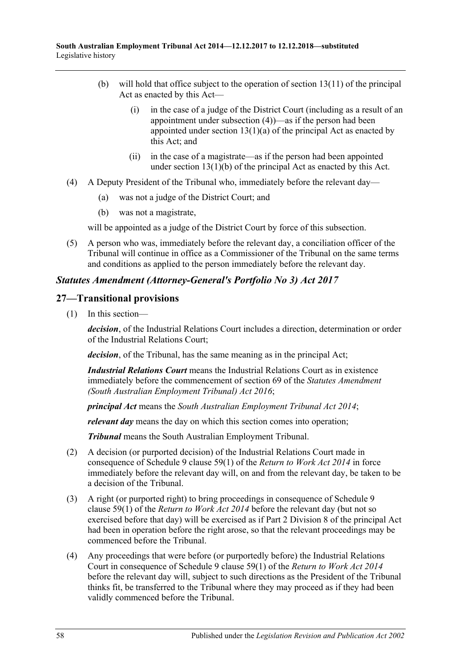- (b) will hold that office subject to the operation of section 13(11) of the principal Act as enacted by this Act—
	- (i) in the case of a judge of the District Court (including as a result of an appointment under [subsection](#page-57-0) (4))—as if the person had been appointed under section  $13(1)(a)$  of the principal Act as enacted by this Act; and
	- (ii) in the case of a magistrate—as if the person had been appointed under section  $13(1)(b)$  of the principal Act as enacted by this Act.
- <span id="page-57-0"></span>(4) A Deputy President of the Tribunal who, immediately before the relevant day—
	- (a) was not a judge of the District Court; and
	- (b) was not a magistrate,

will be appointed as a judge of the District Court by force of this subsection.

(5) A person who was, immediately before the relevant day, a conciliation officer of the Tribunal will continue in office as a Commissioner of the Tribunal on the same terms and conditions as applied to the person immediately before the relevant day.

# *Statutes Amendment (Attorney-General's Portfolio No 3) Act 2017*

# **27—Transitional provisions**

(1) In this section—

*decision*, of the Industrial Relations Court includes a direction, determination or order of the Industrial Relations Court;

*decision*, of the Tribunal, has the same meaning as in the principal Act;

*Industrial Relations Court* means the Industrial Relations Court as in existence immediately before the commencement of section 69 of the *[Statutes Amendment](http://www.legislation.sa.gov.au/index.aspx?action=legref&type=act&legtitle=Statutes%20Amendment%20(South%20Australian%20Employment%20Tribunal)%20Act%202016)  [\(South Australian Employment Tribunal\) Act](http://www.legislation.sa.gov.au/index.aspx?action=legref&type=act&legtitle=Statutes%20Amendment%20(South%20Australian%20Employment%20Tribunal)%20Act%202016) 2016*;

*principal Act* means the *[South Australian Employment Tribunal Act](http://www.legislation.sa.gov.au/index.aspx?action=legref&type=act&legtitle=South%20Australian%20Employment%20Tribunal%20Act%202014) 2014*;

*relevant day* means the day on which this section comes into operation;

*Tribunal* means the South Australian Employment Tribunal.

- (2) A decision (or purported decision) of the Industrial Relations Court made in consequence of Schedule 9 clause 59(1) of the *[Return to Work Act](http://www.legislation.sa.gov.au/index.aspx?action=legref&type=act&legtitle=Return%20to%20Work%20Act%202014) 2014* in force immediately before the relevant day will, on and from the relevant day, be taken to be a decision of the Tribunal.
- (3) A right (or purported right) to bring proceedings in consequence of Schedule 9 clause 59(1) of the *[Return to Work Act](http://www.legislation.sa.gov.au/index.aspx?action=legref&type=act&legtitle=Return%20to%20Work%20Act%202014) 2014* before the relevant day (but not so exercised before that day) will be exercised as if Part 2 Division 8 of the principal Act had been in operation before the right arose, so that the relevant proceedings may be commenced before the Tribunal.
- (4) Any proceedings that were before (or purportedly before) the Industrial Relations Court in consequence of Schedule 9 clause 59(1) of the *[Return to Work Act](http://www.legislation.sa.gov.au/index.aspx?action=legref&type=act&legtitle=Return%20to%20Work%20Act%202014) 2014* before the relevant day will, subject to such directions as the President of the Tribunal thinks fit, be transferred to the Tribunal where they may proceed as if they had been validly commenced before the Tribunal.